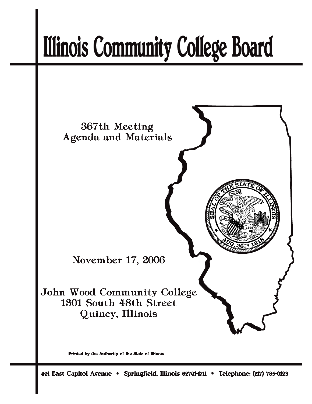# **Illinois Community College Board**



Printed by the Authority of the State of Illinois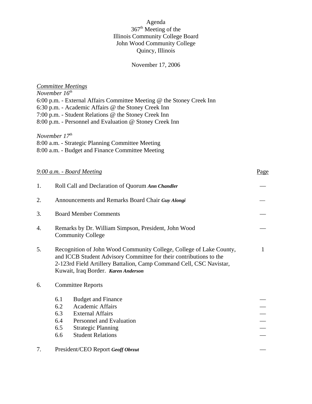## Agenda 367<sup>th</sup> Meeting of the Illinois Community College Board John Wood Community College Quincy, Illinois

# November 17, 2006

|    | <b>Committee Meetings</b><br>November $16th$<br>6:00 p.m. - External Affairs Committee Meeting @ the Stoney Creek Inn<br>6:30 p.m. - Academic Affairs @ the Stoney Creek Inn<br>7:00 p.m. - Student Relations @ the Stoney Creek Inn<br>8:00 p.m. - Personnel and Evaluation @ Stoney Creek Inn |      |  |  |
|----|-------------------------------------------------------------------------------------------------------------------------------------------------------------------------------------------------------------------------------------------------------------------------------------------------|------|--|--|
|    | November $17th$<br>8:00 a.m. - Strategic Planning Committee Meeting<br>8:00 a.m. - Budget and Finance Committee Meeting                                                                                                                                                                         |      |  |  |
|    | $9:00$ a.m. $-$ Board Meeting                                                                                                                                                                                                                                                                   | Page |  |  |
| 1. | Roll Call and Declaration of Quorum Ann Chandler                                                                                                                                                                                                                                                |      |  |  |
| 2. | Announcements and Remarks Board Chair Guy Alongi                                                                                                                                                                                                                                                |      |  |  |
| 3. | <b>Board Member Comments</b>                                                                                                                                                                                                                                                                    |      |  |  |
| 4. | Remarks by Dr. William Simpson, President, John Wood<br><b>Community College</b>                                                                                                                                                                                                                |      |  |  |
| 5. | Recognition of John Wood Community College, College of Lake County,<br>$\mathbf{1}$<br>and ICCB Student Advisory Committee for their contributions to the<br>2-123rd Field Artillery Battalion, Camp Command Cell, CSC Navistar,<br>Kuwait, Iraq Border. Karen Anderson                         |      |  |  |
| 6. | <b>Committee Reports</b>                                                                                                                                                                                                                                                                        |      |  |  |
|    | <b>Budget and Finance</b><br>6.1<br>6.2<br>Academic Affairs<br>6.3<br><b>External Affairs</b><br>6.4<br>Personnel and Evaluation<br>6.5<br><b>Strategic Planning</b><br><b>Student Relations</b><br>6.6                                                                                         |      |  |  |
| 7. | President/CEO Report Geoff Obrzut                                                                                                                                                                                                                                                               |      |  |  |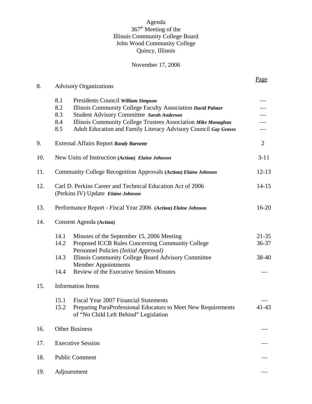## Agenda 367<sup>th</sup> Meeting of the Illinois Community College Board John Wood Community College Quincy, Illinois

# November 17, 2006

|     |                                                                                                                                                                                                                                                                                                                       | Page                                      |  |  |
|-----|-----------------------------------------------------------------------------------------------------------------------------------------------------------------------------------------------------------------------------------------------------------------------------------------------------------------------|-------------------------------------------|--|--|
| 8.  | <b>Advisory Organizations</b>                                                                                                                                                                                                                                                                                         |                                           |  |  |
|     | 8.1<br>Presidents Council William Simpson<br>8.2<br>Illinois Community College Faculty Association David Palmer<br>8.3<br>Student Advisory Committee Sarah Anderson<br>8.4<br>Illinois Community College Trustees Association Mike Monaghan<br>Adult Education and Family Literacy Advisory Council Gay Graves<br>8.5 | $\overline{\phantom{0}}$<br>$\frac{1}{1}$ |  |  |
| 9.  | $\overline{2}$<br><b>External Affairs Report Randy Barnette</b>                                                                                                                                                                                                                                                       |                                           |  |  |
| 10. | New Units of Instruction (Action) Elaine Johnson                                                                                                                                                                                                                                                                      |                                           |  |  |
| 11. | Community College Recognition Approvals (Action) Elaine Johnson                                                                                                                                                                                                                                                       |                                           |  |  |
| 12. | Carl D. Perkins Career and Technical Education Act of 2006<br>(Perkins IV) Update Elaine Johnson                                                                                                                                                                                                                      |                                           |  |  |
| 13. | Performance Report - Fiscal Year 2006 (Action) Elaine Johnson                                                                                                                                                                                                                                                         |                                           |  |  |
| 14. | <b>Consent Agenda</b> (Action)                                                                                                                                                                                                                                                                                        |                                           |  |  |
|     | 14.1<br>Minutes of the September 15, 2006 Meeting<br>14.2<br>Proposed ICCB Rules Concerning Community College<br>Personnel Policies (Initial Approval)                                                                                                                                                                | $21 - 35$<br>36-37                        |  |  |
|     | 14.3<br>Illinois Community College Board Advisory Committee<br><b>Member Appointments</b><br>Review of the Executive Session Minutes<br>14.4                                                                                                                                                                          | 38-40                                     |  |  |
| 15. | <b>Information Items</b>                                                                                                                                                                                                                                                                                              |                                           |  |  |
|     | 15.1<br>Fiscal Year 2007 Financial Statements<br>15.2<br>Preparing ParaProfessional Educators to Meet New Requirements<br>of "No Child Left Behind" Legislation                                                                                                                                                       | 41-43                                     |  |  |
| 16. | <b>Other Business</b>                                                                                                                                                                                                                                                                                                 |                                           |  |  |
| 17. | <b>Executive Session</b>                                                                                                                                                                                                                                                                                              |                                           |  |  |
| 18. | <b>Public Comment</b>                                                                                                                                                                                                                                                                                                 |                                           |  |  |
| 19. | Adjournment                                                                                                                                                                                                                                                                                                           |                                           |  |  |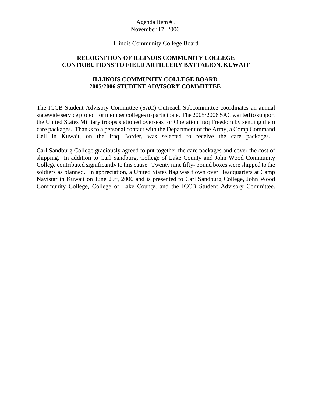#### Illinois Community College Board

## **RECOGNITION OF ILLINOIS COMMUNITY COLLEGE CONTRIBUTIONS TO FIELD ARTILLERY BATTALION, KUWAIT**

## **ILLINOIS COMMUNITY COLLEGE BOARD 2005/2006 STUDENT ADVISORY COMMITTEE**

The ICCB Student Advisory Committee (SAC) Outreach Subcommittee coordinates an annual statewide service project for member colleges to participate. The 2005/2006 SAC wanted to support the United States Military troops stationed overseas for Operation Iraq Freedom by sending them care packages. Thanks to a personal contact with the Department of the Army, a Comp Command Cell in Kuwait, on the Iraq Border, was selected to receive the care packages.

Carl Sandburg College graciously agreed to put together the care packages and cover the cost of shipping. In addition to Carl Sandburg, College of Lake County and John Wood Community College contributed significantly to this cause. Twenty nine fifty- pound boxes were shipped to the soldiers as planned. In appreciation, a United States flag was flown over Headquarters at Camp Navistar in Kuwait on June  $29<sup>th</sup>$ , 2006 and is presented to Carl Sandburg College, John Wood Community College, College of Lake County, and the ICCB Student Advisory Committee.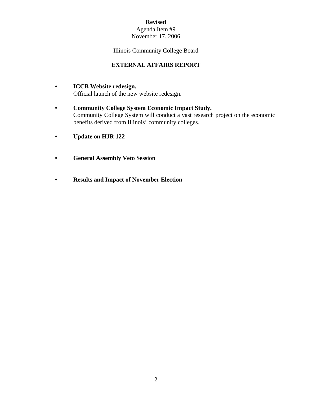## Agenda Item #9 November 17, 2006

Illinois Community College Board

# **EXTERNAL AFFAIRS REPORT**

- **ICCB Website redesign.** Official launch of the new website redesign.
- **Community College System Economic Impact Study.** Community College System will conduct a vast research project on the economic benefits derived from Illinois' community colleges.
- **Update on HJR 122**
- **General Assembly Veto Session**
- **Results and Impact of November Election**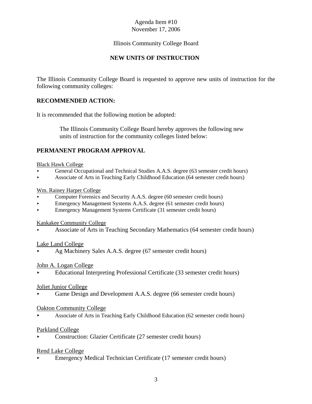# Illinois Community College Board

# **NEW UNITS OF INSTRUCTION**

The Illinois Community College Board is requested to approve new units of instruction for the following community colleges:

## **RECOMMENDED ACTION:**

It is recommended that the following motion be adopted:

 The Illinois Community College Board hereby approves the following new units of instruction for the community colleges listed below:

## **PERMANENT PROGRAM APPROVAL**

#### Black Hawk College

- < General Occupational and Technical Studies A.A.S. degree (63 semester credit hours)
- < Associate of Arts in Teaching Early Childhood Education (64 semester credit hours)

#### Wm. Rainey Harper College

- < Computer Forensics and Security A.A.S. degree (60 semester credit hours)
- < Emergency Management Systems A.A.S. degree (61 semester credit hours)
- < Emergency Management Systems Certificate (31 semester credit hours)

#### Kankakee Community College

< Associate of Arts in Teaching Secondary Mathematics (64 semester credit hours)

#### Lake Land College

Ag Machinery Sales A.A.S. degree (67 semester credit hours)

#### John A. Logan College

< Educational Interpreting Professional Certificate (33 semester credit hours)

#### Joliet Junior College

Game Design and Development A.A.S. degree (66 semester credit hours)

#### Oakton Community College

< Associate of Arts in Teaching Early Childhood Education (62 semester credit hours)

#### Parkland College

< Construction: Glazier Certificate (27 semester credit hours)

#### Rend Lake College

< Emergency Medical Technician Certificate (17 semester credit hours)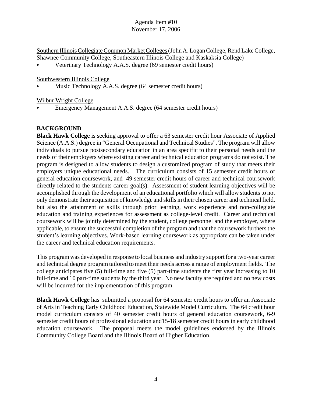Southern Illinois Collegiate Common Market Colleges (John A. Logan College, Rend Lake College, Shawnee Community College, Southeastern Illinois College and Kaskaksia College)

< Veterinary Technology A.A.S. degree (69 semester credit hours)

Southwestern Illinois College

Music Technology A.A.S. degree (64 semester credit hours)

Wilbur Wright College

< Emergency Management A.A.S. degree (64 semester credit hours)

# **BACKGROUND**

**Black Hawk College** is seeking approval to offer a 63 semester credit hour Associate of Applied Science (A.A.S.) degree in "General Occupational and Technical Studies". The program will allow individuals to pursue postsecondary education in an area specific to their personal needs and the needs of their employers where existing career and technical education programs do not exist. The program is designed to allow students to design a customized program of study that meets their employers unique educational needs. The curriculum consists of 15 semester credit hours of general education coursework, and 49 semester credit hours of career and technical coursework directly related to the students career goal(s). Assessment of student learning objectives will be accomplished through the development of an educational portfolio which will allow students to not only demonstrate their acquisition of knowledge and skills in their chosen career and technical field, but also the attainment of skills through prior learning, work experience and non-collegiate education and training experiences for assessment as college-level credit. Career and technical coursework will be jointly determined by the student, college personnel and the employer, where applicable, to ensure the successful completion of the program and that the coursework furthers the student's learning objectives. Work-based learning coursework as appropriate can be taken under the career and technical education requirements.

This program was developed in response to local business and industry support for a two-year career and technical degree program tailored to meet their needs across a range of employment fields. The college anticipates five (5) full-time and five (5) part-time students the first year increasing to 10 full-time and 10 part-time students by the third year. No new faculty are required and no new costs will be incurred for the implementation of this program.

**Black Hawk College** has submitted a proposal for 64 semester credit hours to offer an Associate of Arts in Teaching Early Childhood Education, Statewide Model Curriculum. The 64 credit hour model curriculum consists of 40 semester credit hours of general education coursework, 6-9 semester credit hours of professional education and15-18 semester credit hours in early childhood education coursework. The proposal meets the model guidelines endorsed by the Illinois Community College Board and the Illinois Board of Higher Education.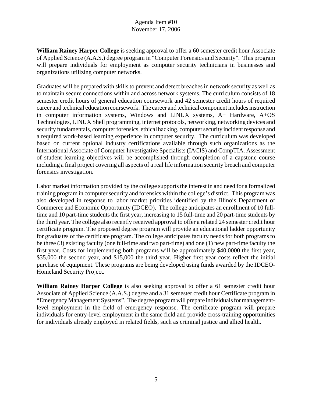**William Rainey Harper College** is seeking approval to offer a 60 semester credit hour Associate of Applied Science (A.A.S.) degree program in "Computer Forensics and Security". This program will prepare individuals for employment as computer security technicians in businesses and organizations utilizing computer networks.

Graduates will be prepared with skills to prevent and detect breaches in network security as well as to maintain secure connections within and across network systems. The curriculum consists of 18 semester credit hours of general education coursework and 42 semester credit hours of required career and technical education coursework. The career and technical component includes instruction in computer information systems, Windows and LINUX systems, A+ Hardware, A+OS Technologies, LINUX Shell programming, internet protocols, networking, networking devices and security fundamentals, computer forensics, ethical hacking, computer security incident response and a required work-based learning experience in computer security. The curriculum was developed based on current optional industry certifications available through such organizations as the International Associate of Computer Investigative Specialists (IACIS) and CompTIA. Assessment of student learning objectives will be accomplished through completion of a capstone course including a final project covering all aspects of a real life information security breach and computer forensics investigation.

Labor market information provided by the college supports the interest in and need for a formalized training program in computer security and forensics within the college's district. This program was also developed in response to labor market priorities identified by the Illinois Department of Commerce and Economic Opportunity (IDCEO). The college anticipates an enrollment of 10 fulltime and 10 part-time students the first year, increasing to 15 full-time and 20 part-time students by the third year. The college also recently received approval to offer a related 24 semester credit hour certificate program. The proposed degree program will provide an educational ladder opportunity for graduates of the certificate program. The college anticipates faculty needs for both programs to be three (3) existing faculty (one full-time and two part-time) and one (1) new part-time faculty the first year. Costs for implementing both programs will be approximately \$40,0000 the first year, \$35,000 the second year, and \$15,000 the third year. Higher first year costs reflect the initial purchase of equipment. These programs are being developed using funds awarded by the IDCEO-Homeland Security Project.

**William Rainey Harper College** is also seeking approval to offer a 61 semester credit hour Associate of Applied Science (A.A.S.) degree and a 31 semester credit hour Certificate program in "Emergency Management Systems". The degree program will prepare individuals for managementlevel employment in the field of emergency response. The certificate program will prepare individuals for entry-level employment in the same field and provide cross-training opportunities for individuals already employed in related fields, such as criminal justice and allied health.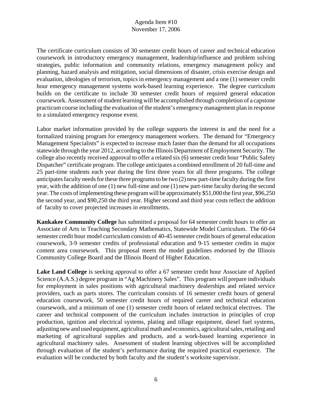The certificate curriculum consists of 30 semester credit hours of career and technical education coursework in introductory emergency management, leadership/influence and problem solving strategies, public information and community relations, emergency management policy and planning, hazard analysis and mitigation, social dimensions of disaster, crisis exercise design and evaluation, ideologies of terrorism, topics in emergency management and a one (1) semester credit hour emergency management systems work-based learning experience. The degree curriculum builds on the certificate to include 30 semester credit hours of required general education coursework. Assessment of student learning will be accomplished through completion of a capstone practicum course including the evaluation of the student's emergency management plan in response to a simulated emergency response event.

Labor market information provided by the college supports the interest in and the need for a formalized training program for emergency management workers. The demand for "Emergency Management Specialists" is expected to increase much faster than the demand for all occupations statewide through the year 2012, according to the Illinois Department of Employment Security. The college also recently received approval to offer a related six (6) semester credit hour "Public Safety Dispatcher" certificate program. The college anticipates a combined enrollment of 20 full-time and 25 part-time students each year during the first three years for all three programs. The college anticipates faculty needs for these three programs to be two (2) new part-time faculty during the first year, with the addition of one (1) new full-time and one (1) new part-time faculty during the second year. The costs of implementing these program will be approximately \$51,000 the first year, \$96,250 the second year, and \$90,250 the third year. Higher second and third year costs reflect the addition of faculty to cover projected increases in enrollments.

**Kankakee Community College** has submitted a proposal for 64 semester credit hours to offer an Associate of Arts in Teaching Secondary Mathematics, Statewide Model Curriculum. The 60-64 semester credit hour model curriculum consists of 40-45 semester credit hours of general education coursework, 3-9 semester credits of professional education and 9-15 semester credits in major content area coursework. This proposal meets the model guidelines endorsed by the Illinois Community College Board and the Illinois Board of Higher Education.

**Lake Land College** is seeking approval to offer a 67 semester credit hour Associate of Applied Science (A.A.S.) degree program in "Ag Machinery Sales". This program will prepare individuals for employment in sales positions with agricultural machinery dealerships and related service providers, such as parts stores. The curriculum consists of 16 semester credit hours of general education coursework, 50 semester credit hours of required career and technical education coursework, and a minimum of one (1) semester credit hours of related technical electives. The career and technical component of the curriculum includes instruction in principles of crop production, ignition and electrical systems, plating and tillage equipment, diesel fuel systems, adjusting new and used equipment, agricultural math and economics, agricultural sales, retailing and marketing of agricultural supplies and products, and a work-based learning experience in agricultural machinery sales. Assessment of student learning objectives will be accomplished through evaluation of the student's performance during the required practical experience. The evaluation will be conducted by both faculty and the student's worksite supervisor.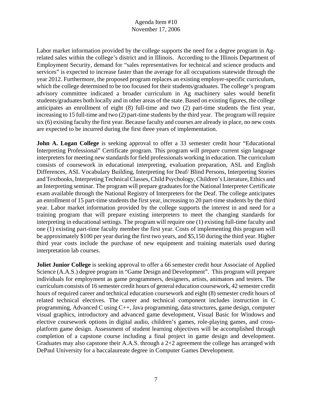Labor market information provided by the college supports the need for a degree program in Agrelated sales within the college's district and in Illinois. According to the Illinois Department of Employment Security, demand for "sales representatives for technical and science products and services" is expected to increase faster than the average for all occupations statewide through the year 2012. Furthermore, the proposed program replaces an existing employer-specific curriculum, which the college determined to be too focused for their students/graduates. The college's program advisory committee indicated a broader curriculum in Ag machinery sales would benefit students/graduates both locally and in other areas of the state. Based on existing figures, the college anticipates an enrollment of eight (8) full-time and two (2) part-time students the first year, increasing to 15 full-time and two (2) part-time students by the third year. The program will require six (6) existing faculty the first year. Because faculty and courses are already in place, no new costs are expected to be incurred during the first three years of implementation.

**John A. Logan College** is seeking approval to offer a 33 semester credit hour "Educational" Interpreting Professional" Certificate program. This program will prepare current sign language interpreters for meeting new standards for field professionals working in education. The curriculum consists of coursework in educational interpreting, evaluation preparation, ASL and English Differences, ASL Vocabulary Building, Interpreting for Deaf/ Blind Persons, Interpreting Stories and Textbooks, Interpreting Technical Classes, Child Psychology, Children's Literature, Ethics and an Interpreting seminar. The program will prepare graduates for the National Interpreter Certificate exam available through the National Registry of Interpreters for the Deaf. The college anticipates an enrollment of 15 part-time students the first year, increasing to 20 part-time students by the third year. Labor market information provided by the college supports the interest in and need for a training program that will prepare existing interpreters to meet the changing standards for interpreting in educational settings. The program will require one (1) existing full-time faculty and one (1) existing part-time faculty member the first year. Costs of implementing this program will be approximately \$100 per year during the first two years, and \$5,150 during the third year. Higher third year costs include the purchase of new equipment and training materials used during interpretation lab courses.

**Joliet Junior College** is seeking approval to offer a 66 semester credit hour Associate of Applied Science (A.A.S.) degree program in "Game Design and Development". This program will prepare individuals for employment as game programmers, designers, artists, animators and testers. The curriculum consists of 16 semester credit hours of general education coursework, 42 semester credit hours of required career and technical education coursework and eight (8) semester credit hours of related technical electives. The career and technical component includes instruction in C programming, Advanced C using C++, Java programming, data structures, game design, computer visual graphics, introductory and advanced game development, Visual Basic for Windows and elective coursework options in digital audio, children's games, role-playing games, and crossplatform game design. Assessment of student learning objectives will be accomplished through completion of a capstone course including a final project in game design and development. Graduates may also capstone their A.A.S. through a 2+2 agreement the college has arranged with DePaul University for a baccalaureate degree in Computer Games Development.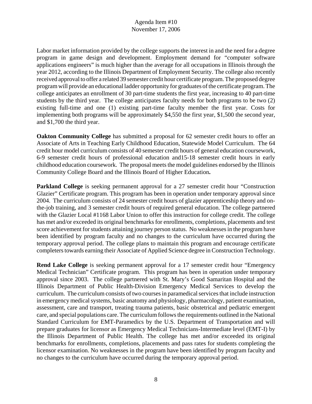Labor market information provided by the college supports the interest in and the need for a degree program in game design and development. Employment demand for "computer software applications engineers" is much higher than the average for all occupations in Illinois through the year 2012, according to the Illinois Department of Employment Security. The college also recently received approval to offer a related 39 semester credit hour certificate program. The proposed degree program will provide an educational ladder opportunity for graduates of the certificate program. The college anticipates an enrollment of 30 part-time students the first year, increasing to 40 part-time students by the third year. The college anticipates faculty needs for both programs to be two (2) existing full-time and one (1) existing part-time faculty member the first year. Costs for implementing both programs will be approximately \$4,550 the first year, \$1,500 the second year, and \$1,700 the third year.

**Oakton Community College** has submitted a proposal for 62 semester credit hours to offer an Associate of Arts in Teaching Early Childhood Education, Statewide Model Curriculum. The 64 credit hour model curriculum consists of 40 semester credit hours of general education coursework, 6-9 semester credit hours of professional education and15-18 semester credit hours in early childhood education coursework. The proposal meets the model guidelines endorsed by the Illinois Community College Board and the Illinois Board of Higher Education**.**

**Parkland College** is seeking permanent approval for a 27 semester credit hour "Construction" Glazier" Certificate program. This program has been in operation under temporary approval since 2004. The curriculum consists of 24 semester credit hours of glazier apprenticeship theory and onthe-job training, and 3 semester credit hours of required general education. The college partnered with the Glazier Local #1168 Labor Union to offer this instruction for college credit. The college has met and/or exceeded its original benchmarks for enrollments, completions, placements and test score achievement for students attaining journey person status. No weaknesses in the program have been identified by program faculty and no changes to the curriculum have occurred during the temporary approval period. The college plans to maintain this program and encourage certificate completers towards earning their Associate of Applied Science degree in Construction Technology.

**Rend Lake College** is seeking permanent approval for a 17 semester credit hour "Emergency Medical Technician" Certificate program. This program has been in operation under temporary approval since 2003. The college partnered with St. Mary's Good Samaritan Hospital and the Illinois Department of Public Health-Division Emergency Medical Services to develop the curriculum. The curriculum consists of two courses in paramedical services that include instruction in emergency medical systems, basic anatomy and physiology, pharmacology, patient examination, assessment, care and transport, treating trauma patients, basic obstetrical and pediatric emergent care, and special populations care. The curriculum follows the requirements outlined in the National Standard Curriculum for EMT-Paramedics by the U.S. Department of Transportation and will prepare graduates for licensor as Emergency Medical Technicians-Intermediate level (EMT-I) by the Illinois Department of Public Health. The college has met and/or exceeded its original benchmarks for enrollments, completions, placements and pass rates for students completing the licensor examination. No weaknesses in the program have been identified by program faculty and no changes to the curriculum have occurred during the temporary approval period.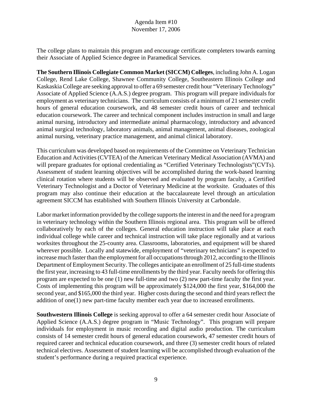The college plans to maintain this program and encourage certificate completers towards earning their Associate of Applied Science degree in Paramedical Services.

**The Southern Illinois Collegiate Common Market (SICCM) Colleges**, including John A. Logan College, Rend Lake College, Shawnee Community College, Southeastern Illinois College and Kaskaskia College are seeking approval to offer a 69 semester credit hour "Veterinary Technology" Associate of Applied Science (A.A.S.) degree program. This program will prepare individuals for employment as veterinary technicians. The curriculum consists of a minimum of 21 semester credit hours of general education coursework, and 48 semester credit hours of career and technical education coursework. The career and technical component includes instruction in small and large animal nursing, introductory and intermediate animal pharmacology, introductory and advanced animal surgical technology, laboratory animals, animal management, animal diseases, zoological animal nursing, veterinary practice management, and animal clinical laboratory.

This curriculum was developed based on requirements of the Committee on Veterinary Technician Education and Activities (CVTEA) of the American Veterinary Medical Association (AVMA) and will prepare graduates for optional credentialing as "Certified Veterinary Technologists"(CVTs). Assessment of student learning objectives will be accomplished during the work-based learning clinical rotation where students will be observed and evaluated by program faculty, a Certified Veterinary Technologist and a Doctor of Veterinary Medicine at the worksite. Graduates of this program may also continue their education at the baccalaureate level through an articulation agreement SICCM has established with Southern Illinois University at Carbondale.

Labor market information provided by the college supports the interest in and the need for a program in veterinary technology within the Southern Illinois regional area. This program will be offered collaboratively by each of the colleges. General education instruction will take place at each individual college while career and technical instruction will take place regionally and at various worksites throughout the 25-county area. Classrooms, laboratories, and equipment will be shared wherever possible. Locally and statewide, employment of "veterinary technicians" is expected to increase much faster than the employment for all occupations through 2012, according to the Illinois Department of Employment Security. The colleges anticipate an enrollment of 25 full-time students the first year, increasing to 43 full-time enrollments by the third year. Faculty needs for offering this program are expected to be one (1) new full-time and two (2) new part-time faculty the first year. Costs of implementing this program will be approximately \$124,000 the first year, \$164,000 the second year, and \$165,000 the third year. Higher costs during the second and third years reflect the addition of one(1) new part-time faculty member each year due to increased enrollments.

**Southwestern Illinois College** is seeking approval to offer a 64 semester credit hour Associate of Applied Science (A.A.S.) degree program in "Music Technology". This program will prepare individuals for employment in music recording and digital audio production. The curriculum consists of 14 semester credit hours of general education coursework, 47 semester credit hours of required career and technical education coursework, and three (3) semester credit hours of related technical electives. Assessment of student learning will be accomplished through evaluation of the student's performance during a required practical experience.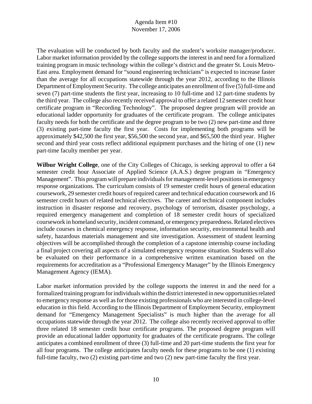The evaluation will be conducted by both faculty and the student's worksite manager/producer. Labor market information provided by the college supports the interest in and need for a formalized training program in music technology within the college's district and the greater St. Louis Metro-East area. Employment demand for "sound engineering technicians" is expected to increase faster than the average for all occupations statewide through the year 2012, according to the Illinois Department of Employment Security. The college anticipates an enrollment of five (5) full-time and seven (7) part-time students the first year, increasing to 10 full-time and 12 part-time students by the third year. The college also recently received approval to offer a related 12 semester credit hour certificate program in "Recording Technology". The proposed degree program will provide an educational ladder opportunity for graduates of the certificate program. The college anticipates faculty needs for both the certificate and the degree program to be two (2) new part-time and three (3) existing part-time faculty the first year. Costs for implementing both programs will be approximately \$42,500 the first year, \$56,500 the second year, and \$65,500 the third year. Higher second and third year costs reflect additional equipment purchases and the hiring of one (1) new part-time faculty member per year.

**Wilbur Wright College**, one of the City Colleges of Chicago, is seeking approval to offer a 64 semester credit hour Associate of Applied Science (A.A.S.) degree program in "Emergency Management". This program will prepare individuals for management-level positions in emergency response organizations. The curriculum consists of 19 semester credit hours of general education coursework, 29 semester credit hours of required career and technical education coursework and 16 semester credit hours of related technical electives. The career and technical component includes instruction in disaster response and recovery, psychology of terrorism, disaster psychology, a required emergency management and completion of 18 semester credit hours of specialized coursework in homeland security, incident command, or emergency preparedness. Related electives include courses in chemical emergency response, information security, environmental health and safety, hazardous materials management and site investigation. Assessment of student learning objectives will be accomplished through the completion of a capstone internship course including a final project covering all aspects of a simulated emergency response situation. Students will also be evaluated on their performance in a comprehensive written examination based on the requirements for accreditation as a "Professional Emergency Manager" by the Illinois Emergency Management Agency (IEMA).

Labor market information provided by the college supports the interest in and the need for a formalized training program for individuals within the district interested in new opportunities related to emergency response as well as for those existing professionals who are interested in college-level education in this field. According to the Illinois Department of Employment Security, employment demand for "Emergency Management Specialists" is much higher than the average for all occupations statewide through the year 2012. The college also recently received approval to offer three related 18 semester credit hour certificate programs. The proposed degree program will provide an educational ladder opportunity for graduates of the certificate programs. The college anticipates a combined enrollment of three (3) full-time and 20 part-time students the first year for all four programs. The college anticipates faculty needs for these programs to be one (1) existing full-time faculty, two (2) existing part-time and two (2) new part-time faculty the first year.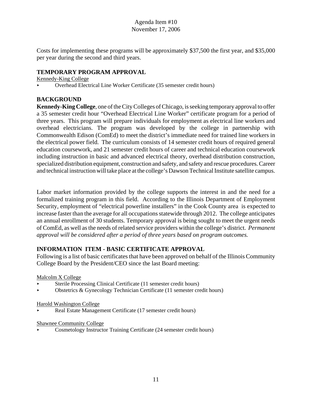Costs for implementing these programs will be approximately \$37,500 the first year, and \$35,000 per year during the second and third years.

# **TEMPORARY PROGRAM APPROVAL**

Kennedy-King College

< Overhead Electrical Line Worker Certificate (35 semester credit hours)

# **BACKGROUND**

**Kennedy-King College**, one of the City Colleges of Chicago, is seeking temporary approval to offer a 35 semester credit hour "Overhead Electrical Line Worker" certificate program for a period of three years. This program will prepare individuals for employment as electrical line workers and overhead electricians. The program was developed by the college in partnership with Commonwealth Edison (ComEd) to meet the district's immediate need for trained line workers in the electrical power field. The curriculum consists of 14 semester credit hours of required general education coursework, and 21 semester credit hours of career and technical education coursework including instruction in basic and advanced electrical theory, overhead distribution construction, specialized distribution equipment, construction and safety, and safety and rescue procedures. Career and technical instruction will take place at the college's Dawson Technical Institute satellite campus.

Labor market information provided by the college supports the interest in and the need for a formalized training program in this field. According to the Illinois Department of Employment Security, employment of "electrical powerline installers" in the Cook County area is expected to increase faster than the average for all occupations statewide through 2012. The college anticipates an annual enrollment of 30 students. Temporary approval is being sought to meet the urgent needs of ComEd, as well as the needs of related service providers within the college's district. *Permanent approval will be considered after a period of three years based on program outcomes.*

# **INFORMATION ITEM - BASIC CERTIFICATE APPROVAL**

Following is a list of basic certificates that have been approved on behalf of the Illinois Community College Board by the President/CEO since the last Board meeting:

Malcolm X College

- < Sterile Processing Clinical Certificate (11 semester credit hours)
- < Obstetrics & Gynecology Technician Certificate (11 semester credit hours)

## Harold Washington College

Real Estate Management Certificate (17 semester credit hours)

## Shawnee Community College

< Cosmetology Instructor Training Certificate (24 semester credit hours)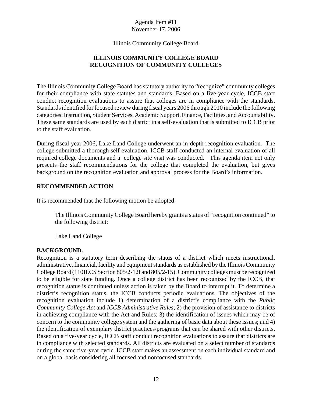Illinois Community College Board

# **ILLINOIS COMMUNITY COLLEGE BOARD RECOGNITION OF COMMUNITY COLLEGES**

The Illinois Community College Board has statutory authority to "recognize" community colleges for their compliance with state statutes and standards. Based on a five-year cycle, ICCB staff conduct recognition evaluations to assure that colleges are in compliance with the standards. Standards identified for focused review during fiscal years 2006 through 2010 include the following categories: Instruction, Student Services, Academic Support, Finance, Facilities, and Accountability. These same standards are used by each district in a self-evaluation that is submitted to ICCB prior to the staff evaluation.

During fiscal year 2006, Lake Land College underwent an in-depth recognition evaluation. The college submitted a thorough self evaluation, ICCB staff conducted an internal evaluation of all required college documents and a college site visit was conducted. This agenda item not only presents the staff recommendations for the college that completed the evaluation, but gives background on the recognition evaluation and approval process for the Board's information.

## **RECOMMENDED ACTION**

It is recommended that the following motion be adopted:

The Illinois Community College Board hereby grants a status of "recognition continued" to the following district:

Lake Land College

## **BACKGROUND.**

Recognition is a statutory term describing the status of a district which meets instructional, administrative, financial, facility and equipment standards as established by the Illinois Community College Board (110ILCS Section 805/2-12f and 805/2-15). Community colleges must be recognized to be eligible for state funding. Once a college district has been recognized by the ICCB, that recognition status is continued unless action is taken by the Board to interrupt it. To determine a district's recognition status, the ICCB conducts periodic evaluations. The objectives of the recognition evaluation include 1) determination of a district's compliance with the *Public Community College Act* and *ICCB Administrative Rules*; 2) the provision of assistance to districts in achieving compliance with the Act and Rules; 3) the identification of issues which may be of concern to the community college system and the gathering of basic data about these issues; and 4) the identification of exemplary district practices/programs that can be shared with other districts. Based on a five-year cycle, ICCB staff conduct recognition evaluations to assure that districts are in compliance with selected standards. All districts are evaluated on a select number of standards during the same five-year cycle. ICCB staff makes an assessment on each individual standard and on a global basis considering all focused and nonfocused standards.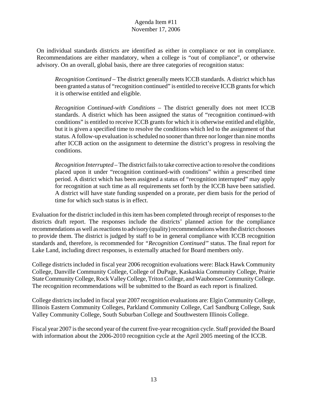On individual standards districts are identified as either in compliance or not in compliance. Recommendations are either mandatory, when a college is "out of compliance", or otherwise advisory. On an overall, global basis, there are three categories of recognition status:

*Recognition Continued* – The district generally meets ICCB standards. A district which has been granted a status of "recognition continued" is entitled to receive ICCB grants for which it is otherwise entitled and eligible.

*Recognition Continued-with Conditions* – The district generally does not meet ICCB standards. A district which has been assigned the status of "recognition continued-with conditions" is entitled to receive ICCB grants for which it is otherwise entitled and eligible, but it is given a specified time to resolve the conditions which led to the assignment of that status. A follow-up evaluation is scheduled no sooner than three nor longer than nine months after ICCB action on the assignment to determine the district's progress in resolving the conditions.

*Recognition Interrupted* – The district fails to take corrective action to resolve the conditions placed upon it under "recognition continued-with conditions" within a prescribed time period. A district which has been assigned a status of "recognition interrupted" may apply for recognition at such time as all requirements set forth by the ICCB have been satisfied. A district will have state funding suspended on a prorate, per diem basis for the period of time for which such status is in effect.

Evaluation for the district included in this item has been completed through receipt of responses to the districts draft report. The responses include the districts' planned action for the compliance recommendations as well as reactions to advisory (quality) recommendations when the district chooses to provide them. The district is judged by staff to be in general compliance with ICCB recognition standards and, therefore, is recommended for *"Recognition Continued"* status. The final report for Lake Land, including direct responses, is externally attached for Board members only.

College districts included in fiscal year 2006 recognition evaluations were: Black Hawk Community College, Danville Community College, College of DuPage, Kaskaskia Community College, Prairie State Community College, Rock Valley College, Triton College, and Waubonsee Community College. The recognition recommendations will be submitted to the Board as each report is finalized.

College districts included in fiscal year 2007 recognition evaluations are: Elgin Community College, Illinois Eastern Community Colleges, Parkland Community College, Carl Sandburg College, Sauk Valley Community College, South Suburban College and Southwestern Illinois College.

Fiscal year 2007 is the second year of the current five-year recognition cycle. Staff provided the Board with information about the 2006-2010 recognition cycle at the April 2005 meeting of the ICCB.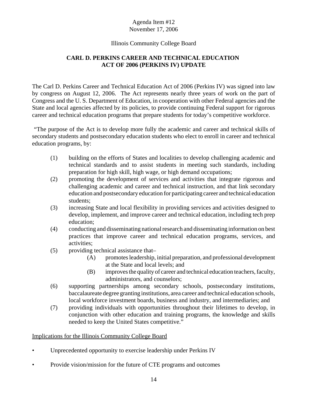## Illinois Community College Board

# **CARL D. PERKINS CAREER AND TECHNICAL EDUCATION ACT OF 2006 (PERKINS IV) UPDATE**

The Carl D. Perkins Career and Technical Education Act of 2006 (Perkins IV) was signed into law by congress on August 12, 2006. The Act represents nearly three years of work on the part of Congress and the U. S. Department of Education, in cooperation with other Federal agencies and the State and local agencies affected by its policies, to provide continuing Federal support for rigorous career and technical education programs that prepare students for today's competitive workforce.

 "The purpose of the Act is to develop more fully the academic and career and technical skills of secondary students and postsecondary education students who elect to enroll in career and technical education programs, by:

- (1) building on the efforts of States and localities to develop challenging academic and technical standards and to assist students in meeting such standards, including preparation for high skill, high wage, or high demand occupations;
- (2) promoting the development of services and activities that integrate rigorous and challenging academic and career and technical instruction, and that link secondary education and postsecondary education for participating career and technical education students;
- (3) increasing State and local flexibility in providing services and activities designed to develop, implement, and improve career and technical education, including tech prep education;
- (4) conducting and disseminating national research and disseminating information on best practices that improve career and technical education programs, services, and activities;
- (5) providing technical assistance that–
	- (A) promotes leadership, initial preparation, and professional development at the State and local levels; and
	- (B) improves the quality of career and technical education teachers, faculty, administrators, and counselors;
- (6) supporting partnerships among secondary schools, postsecondary institutions, baccalaureate degree granting institutions, area career and technical education schools, local workforce investment boards, business and industry, and intermediaries; and
- (7) providing individuals with opportunities throughout their lifetimes to develop, in conjunction with other education and training programs, the knowledge and skills needed to keep the United States competitive."

## Implications for the Illinois Community College Board

- Unprecedented opportunity to exercise leadership under Perkins IV
- Provide vision/mission for the future of CTE programs and outcomes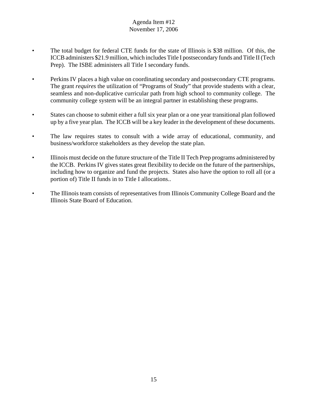- The total budget for federal CTE funds for the state of Illinois is \$38 million. Of this, the ICCBadministers \$21.9 million, which includes Title I postsecondary funds and Title II (Tech Prep). The ISBE administers all Title I secondary funds.
- Perkins IV places a high value on coordinating secondary and postsecondary CTE programs. The grant *requires* the utilization of "Programs of Study" that provide students with a clear, seamless and non-duplicative curricular path from high school to community college. The community college system will be an integral partner in establishing these programs.
- States can choose to submit either a full six year plan or a one year transitional plan followed up by a five year plan. The ICCB will be a key leader in the development of these documents.
- The law requires states to consult with a wide array of educational, community, and business/workforce stakeholders as they develop the state plan.
- Illinois must decide on the future structure of the Title II Tech Prep programs administered by the ICCB. Perkins IV gives states great flexibility to decide on the future of the partnerships, including how to organize and fund the projects. States also have the option to roll all (or a portion of) Title II funds in to Title I allocations..
- The Illinois team consists of representatives from Illinois Community College Board and the Illinois State Board of Education.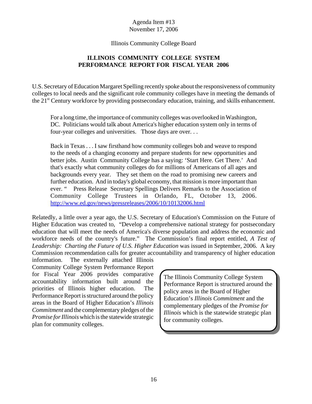Illinois Community College Board

# **ILLINOIS COMMUNITY COLLEGE SYSTEM PERFORMANCE REPORT FOR FISCAL YEAR 2006**

U.S. Secretary of Education Margaret Spelling recently spoke about the responsiveness of community colleges to local needs and the significant role community colleges have in meeting the demands of the 21st Century workforce by providing postsecondary education, training, and skills enhancement.

For a long time, the importance of community colleges was overlooked in Washington, DC. Politicians would talk about America's higher education system only in terms of four-year colleges and universities. Those days are over. . .

Back in Texas . . . I saw firsthand how community colleges bob and weave to respond to the needs of a changing economy and prepare students for new opportunities and better jobs. Austin Community College has a saying: 'Start Here. Get There.' And that's exactly what community colleges do for millions of Americans of all ages and backgrounds every year. They set them on the road to promising new careers and further education. And in today's global economy, that mission is more important than ever. " Press Release Secretary Spellings Delivers Remarks to the Association of Community College Trustees in Orlando, FL, October 13, 2006. http://www.ed.gov/news/pressreleases/2006/10/10132006.html

Relatedly, a little over a year ago, the U.S. Secretary of Education's Commission on the Future of Higher Education was created to, "Develop a comprehensive national strategy for postsecondary education that will meet the needs of America's diverse population and address the economic and workforce needs of the country's future." The Commission's final report entitled, *A Test of Leadership: Charting the Future of U.S. Higher Education* was issued in September, 2006. A key Commission recommendation calls for greater accountability and transparency of higher education

information. The externally attached Illinois Community College System Performance Report for Fiscal Year 2006 provides comparative accountability information built around the priorities of Illinois higher education. The Performance Report is structured around the policy areas in the Board of Higher Education's *Illinois Commitment* and the complementary pledges of the *Promise for Illinois* which is the statewide strategic plan for community colleges.

The Illinois Community College System Performance Report is structured around the policy areas in the Board of Higher Education's *Illinois Commitment* and the complementary pledges of the *Promise for Illinois* which is the statewide strategic plan for community colleges.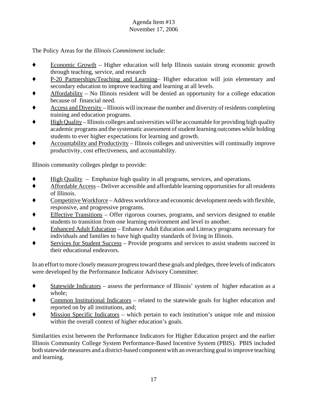The Policy Areas for the *Illinois Commitment* include:

- $\bullet$  Economic Growth Higher education will help Illinois sustain strong economic growth through teaching, service, and research
- ' P-20 Partnerships/Teaching and Learning– Higher education will join elementary and secondary education to improve teaching and learning at all levels.
- ' Affordability No Illinois resident will be denied an opportunity for a college education because of financial need.
- ' Access and Diversity Illinois will increase the number and diversity of residents completing training and education programs.
- ' High Quality Illinois colleges and universities will be accountable for providing high quality academic programs and the systematic assessment of student learning outcomes while holding students to ever higher expectations for learning and growth.
- ' Accountability and Productivity Illinois colleges and universities will continually improve productivity, cost effectiveness, and accountability.

Illinois community colleges pledge to provide:

- ' High Quality Emphasize high quality in all programs, services, and operations.
- ' Affordable Access Deliver accessible and affordable learning opportunities for all residents of Illinois.
- ' Competitive Workforce Address workforce and economic development needs with flexible, responsive, and progressive programs.
- Effective Transitions Offer rigorous courses, programs, and services designed to enable students to transition from one learning environment and level to another.
- ' Enhanced Adult Education Enhance Adult Education and Literacy programs necessary for individuals and families to have high quality standards of living in Illinois.
- Services for Student Success Provide programs and services to assist students succeed in their educational endeavors.

In an effort to more closely measure progress toward these goals and pledges, three levels of indicators were developed by the Performance Indicator Advisory Committee:

- Statewide Indicators assess the performance of Illinois' system of higher education as a whole;
- ' Common Institutional Indicators related to the statewide goals for higher education and reported on by all institutions, and;
- ' Mission Specific Indicators which pertain to each institution's unique role and mission within the overall context of higher education's goals.

Similarities exist between the Performance Indicators for Higher Education project and the earlier Illinois Community College System Performance-Based Incentive System (PBIS). PBIS included both statewide measures and a district-based component with an overarching goal to improve teaching and learning.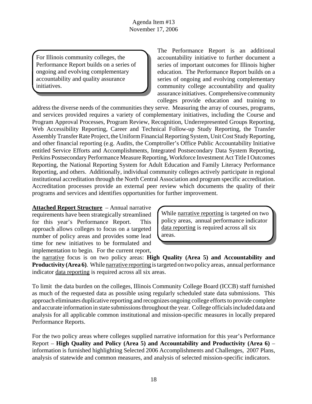For Illinois community colleges, the Performance Report builds on a series of ongoing and evolving complementary accountability and quality assurance initiatives.

The Performance Report is an additional accountability initiative to further document a series of important outcomes for Illinois higher education. The Performance Report builds on a series of ongoing and evolving complementary community college accountability and quality assurance initiatives. Comprehensive community colleges provide education and training to

address the diverse needs of the communities they serve. Measuring the array of courses, programs, and services provided requires a variety of complementary initiatives, including the Course and Program Approval Processes, Program Review, Recognition, Underrepresented Groups Reporting, Web Accessibility Reporting, Career and Technical Follow-up Study Reporting, the Transfer Assembly Transfer Rate Project, the Uniform Financial Reporting System, Unit Cost Study Reporting, and other financial reporting (e.g. Audits, the Comptroller's Office Public Accountability Initiative entitled Service Efforts and Accomplishments, Integrated Postsecondary Data System Reporting, Perkins Postsecondary Performance Measure Reporting, Workforce Investment Act Title I Outcomes Reporting, the National Reporting System for Adult Education and Family Literacy Performance Reporting, and others. Additionally, individual community colleges actively participate in regional institutional accreditation through the North Central Association and program specific accreditation. Accreditation processes provide an external peer review which documents the quality of their programs and services and identifies opportunities for further improvement.

**Attached Report Structure** – Annual narrative requirements have been strategically streamlined for this year's Performance Report. This approach allows colleges to focus on a targeted number of policy areas and provides some lead time for new initiatives to be formulated and implementation to begin. For the current report,

While **narrative reporting** is targeted on two policy areas, annual performance indicator data reporting is required across all six areas.

the narrative focus is on two policy areas: **High Quality (Area 5) and Accountability and Productivity (Area 6)**. While narrative reporting is targeted on two policy areas, annual performance indicator data reporting is required across all six areas.

To limit the data burden on the colleges, Illinois Community College Board (ICCB) staff furnished as much of the requested data as possible using regularly scheduled state data submissions. This approach eliminates duplicative reporting and recognizes ongoing college efforts to provide complete and accurate information in state submissions throughout the year. College officials included data and analysis for all applicable common institutional and mission-specific measures in locally prepared Performance Reports.

For the two policy areas where colleges supplied narrative information for this year's Performance Report – **High Quality and Policy (Area 5) and Accountability and Productivity (Area 6)** – information is furnished highlighting Selected 2006 Accomplishments and Challenges, 2007 Plans, analysis of statewide and common measures, and analysis of selected mission-specific indicators.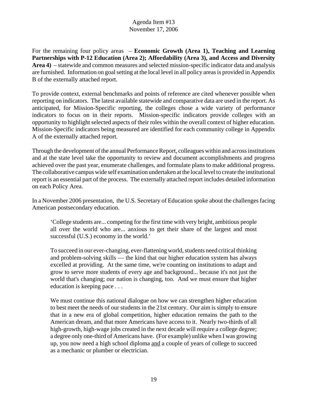For the remaining four policy areas – **Economic Growth (Area 1), Teaching and Learning Partnerships with P-12 Education (Area 2); Affordability (Area 3), and Access and Diversity Area 4)** – statewide and common measures and selected mission-specific indicator data and analysis are furnished. Information on goal setting at the local level in all policy areas is provided in Appendix B of the externally attached report.

To provide context, external benchmarks and points of reference are cited whenever possible when reporting on indicators. The latest available statewide and comparative data are used in the report. As anticipated, for Mission-Specific reporting, the colleges chose a wide variety of performance indicators to focus on in their reports. Mission-specific indicators provide colleges with an opportunity to highlight selected aspects of their roles within the overall context of higher education. Mission-Specific indicators being measured are identified for each community college in Appendix A of the externally attached report.

Through the development of the annual Performance Report, colleagues within and across institutions and at the state level take the opportunity to review and document accomplishments and progress achieved over the past year, enumerate challenges, and formulate plans to make additional progress. The collaborative campus wide self examination undertaken at the local level to create the institutional report is an essential part of the process. The externally attached report includes detailed information on each Policy Area.

In a November 2006 presentation, the U.S. Secretary of Education spoke about the challenges facing American postsecondary education.

'College students are... competing for the first time with very bright, ambitious people all over the world who are... anxious to get their share of the largest and most successful (U.S.) economy in the world.'

To succeed in our ever-changing, ever-flattening world, students need critical thinking and problem-solving skills — the kind that our higher education system has always excelled at providing. At the same time, we're counting on institutions to adapt and grow to serve more students of every age and background... because it's not just the world that's changing; our nation is changing, too. And we must ensure that higher education is keeping pace . . .

We must continue this national dialogue on how we can strengthen higher education to best meet the needs of our students in the 21st century. Our aim is simply to ensure that in a new era of global competition, higher education remains the path to the American dream, and that more Americans have access to it. Nearly two-thirds of all high-growth, high-wage jobs created in the next decade will require a college degree; a degree only one-third of Americans have. (For example) unlike when I was growing up, you now need a high school diploma and a couple of years of college to succeed as a mechanic or plumber or electrician.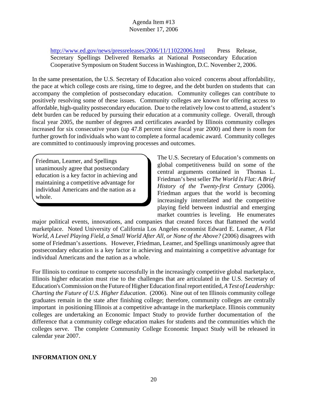http://www.ed.gov/news/pressreleases/2006/11/11022006.html Press Release, Secretary Spellings Delivered Remarks at National Postsecondary Education Cooperative Symposium on Student Success in Washington, D.C. November 2, 2006.

In the same presentation, the U.S. Secretary of Education also voiced concerns about affordability, the pace at which college costs are rising, time to degree, and the debt burden on students that can accompany the completion of postsecondary education. Community colleges can contribute to positively resolving some of these issues. Community colleges are known for offering access to affordable, high-quality postsecondary education. Due to the relatively low cost to attend, a student's debt burden can be reduced by pursuing their education at a community college. Overall, through fiscal year 2005, the number of degrees and certificates awarded by Illinois community colleges increased for six consecutive years (up 47.8 percent since fiscal year 2000) and there is room for further growth for individuals who want to complete a formal academic award. Community colleges are committed to continuously improving processes and outcomes.

Friedman, Leamer, and Spellings unanimously agree that postsecondary education is a key factor in achieving and maintaining a competitive advantage for individual Americans and the nation as a whole.

The U.S. Secretary of Education's comments on global competitiveness build on some of the central arguments contained in Thomas L. Friedman's best seller *The World Is Flat: A Brief History of the Twenty-first Century* (2006). Friedman argues that the world is becoming increasingly interrelated and the competitive playing field between industrial and emerging market countries is leveling. He enumerates

major political events, innovations, and companies that created forces that flattened the world marketplace. Noted University of California Los Angeles economist Edward E. Leamer, *A Flat World, A Level Playing Field, a Small World After All, or None of the Above?* (2006) disagrees with some of Friedman's assertions. However, Friedman, Leamer, and Spellings unanimously agree that postsecondary education is a key factor in achieving and maintaining a competitive advantage for individual Americans and the nation as a whole.

For Illinois to continue to compete successfully in the increasingly competitive global marketplace, Illinois higher education must rise to the challenges that are articulated in the U.S. Secretary of Education's Commission on the Future of Higher Education final report entitled, *A Test of Leadership: Charting the Future of U.S. Higher Education*. (2006). Nine out of ten Illinois community college graduates remain in the state after finishing college; therefore, community colleges are centrally important in positioning Illinois at a competitive advantage in the marketplace. Illinois community colleges are undertaking an Economic Impact Study to provide further documentation of the difference that a community college education makes for students and the communities which the colleges serve. The complete Community College Economic Impact Study will be released in calendar year 2007.

#### **INFORMATION ONLY**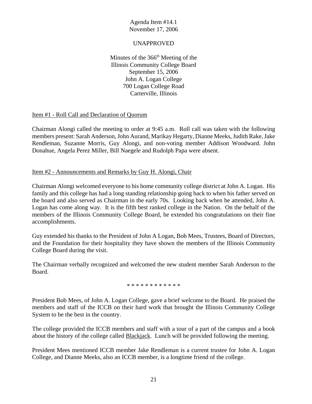## UNAPPROVED

Minutes of the  $366<sup>th</sup>$  Meeting of the Illinois Community College Board September 15, 2006 John A. Logan College 700 Logan College Road Carterville, Illinois

## Item #1 - Roll Call and Declaration of Quorum

Chairman Alongi called the meeting to order at 9:45 a.m. Roll call was taken with the following members present: Sarah Anderson, John Aurand, Marikay Hegarty, Dianne Meeks, Judith Rake, Jake Rendleman, Suzanne Morris, Guy Alongi, and non-voting member Addison Woodward. John Donahue, Angela Perez Miller, Bill Naegele and Rudolph Papa were absent.

## Item #2 - Announcements and Remarks by Guy H. Alongi, Chair

Chairman Alongi welcomed everyone to his home community college district at John A. Logan. His family and this college has had a long standing relationship going back to when his father served on the board and also served as Chairman in the early 70s. Looking back when he attended, John A. Logan has come along way. It is the fifth best ranked college in the Nation. On the behalf of the members of the Illinois Community College Board, he extended his congratulations on their fine accomplishments.

Guy extended his thanks to the President of John A Logan, Bob Mees, Trustees, Board of Directors, and the Foundation for their hospitality they have shown the members of the Illinois Community College Board during the visit.

The Chairman verbally recognized and welcomed the new student member Sarah Anderson to the Board.

\* \* \* \* \* \* \* \* \* \* \* \*

President Bob Mees, of John A. Logan College, gave a brief welcome to the Board. He praised the members and staff of the ICCB on their hard work that brought the Illinois Community College System to be the best in the country.

The college provided the ICCB members and staff with a tour of a part of the campus and a book about the history of the college called **Blackjack**. Lunch will be provided following the meeting.

President Mees mentioned ICCB member Jake Rendleman is a current trustee for John A. Logan College, and Dianne Meeks, also an ICCB member, is a longtime friend of the college.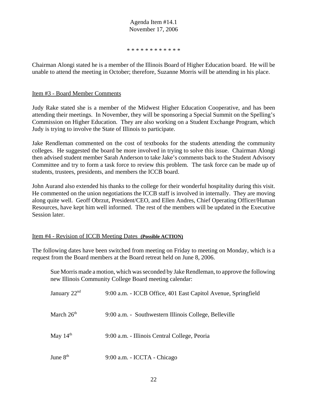\* \* \* \* \* \* \* \* \* \* \* \*

Chairman Alongi stated he is a member of the Illinois Board of Higher Education board. He will be unable to attend the meeting in October; therefore, Suzanne Morris will be attending in his place.

#### Item #3 - Board Member Comments

Judy Rake stated she is a member of the Midwest Higher Education Cooperative, and has been attending their meetings. In November, they will be sponsoring a Special Summit on the Spelling's Commission on Higher Education. They are also working on a Student Exchange Program, which Judy is trying to involve the State of Illinois to participate.

Jake Rendleman commented on the cost of textbooks for the students attending the community colleges. He suggested the board be more involved in trying to solve this issue. Chairman Alongi then advised student member Sarah Anderson to take Jake's comments back to the Student Advisory Committee and try to form a task force to review this problem. The task force can be made up of students, trustees, presidents, and members the ICCB board.

John Aurand also extended his thanks to the college for their wonderful hospitality during this visit. He commented on the union negotiations the ICCB staff is involved in internally. They are moving along quite well. Geoff Obrzut, President/CEO, and Ellen Andres, Chief Operating Officer/Human Resources, have kept him well informed. The rest of the members will be updated in the Executive Session later.

#### Item #4 - Revision of ICCB Meeting Dates **(Possible ACTION)**

The following dates have been switched from meeting on Friday to meeting on Monday, which is a request from the Board members at the Board retreat held on June 8, 2006.

Sue Morris made a motion, which was seconded by Jake Rendleman, to approve the following new Illinois Community College Board meeting calendar:

| January $22nd$ | 9:00 a.m. - ICCB Office, 401 East Capitol Avenue, Springfield |
|----------------|---------------------------------------------------------------|
| March $26th$   | 9:00 a.m. - Southwestern Illinois College, Belleville         |
| May $14th$     | 9:00 a.m. - Illinois Central College, Peoria                  |
| June $8th$     | 9:00 a.m. - ICCTA - Chicago                                   |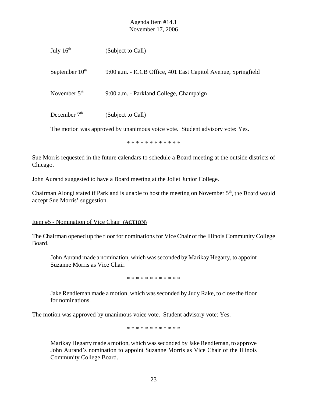| July $16th$                                                                  | (Subject to Call)                                             |  |  |  |
|------------------------------------------------------------------------------|---------------------------------------------------------------|--|--|--|
| September $10th$                                                             | 9:00 a.m. - ICCB Office, 401 East Capitol Avenue, Springfield |  |  |  |
| November $5th$                                                               | 9:00 a.m. - Parkland College, Champaign                       |  |  |  |
| December $7th$                                                               | (Subject to Call)                                             |  |  |  |
| The motion was approved by unanimous voice vote. Student advisory vote: Yes. |                                                               |  |  |  |

\* \* \* \* \* \* \* \* \* \* \* \*

Sue Morris requested in the future calendars to schedule a Board meeting at the outside districts of Chicago.

John Aurand suggested to have a Board meeting at the Joliet Junior College.

Chairman Alongi stated if Parkland is unable to host the meeting on November 5<sup>th</sup>, the Board would accept Sue Morris' suggestion.

## Item #5 - Nomination of Vice Chair **(ACTION)**

The Chairman opened up the floor for nominations for Vice Chair of the Illinois Community College Board.

John Aurand made a nomination, which was seconded by Marikay Hegarty, to appoint Suzanne Morris as Vice Chair.

\* \* \* \* \* \* \* \* \* \* \* \*

Jake Rendleman made a motion, which was seconded by Judy Rake, to close the floor for nominations.

The motion was approved by unanimous voice vote. Student advisory vote: Yes.

\* \* \* \* \* \* \* \* \* \* \* \*

Marikay Hegarty made a motion, which was seconded by Jake Rendleman, to approve John Aurand's nomination to appoint Suzanne Morris as Vice Chair of the Illinois Community College Board.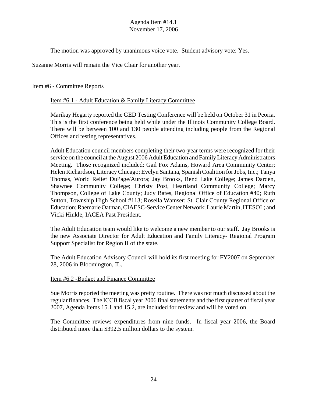The motion was approved by unanimous voice vote. Student advisory vote: Yes.

Suzanne Morris will remain the Vice Chair for another year.

## Item #6 - Committee Reports

## Item #6.1 - Adult Education & Family Literacy Committee

Marikay Hegarty reported the GED Testing Conference will be held on October 31 in Peoria. This is the first conference being held while under the Illinois Community College Board. There will be between 100 and 130 people attending including people from the Regional Offices and testing representatives.

Adult Education council members completing their two-year terms were recognized for their service on the council at the August 2006 Adult Education and Family Literacy Administrators Meeting. Those recognized included: Gail Fox Adams, Howard Area Community Center; Helen Richardson, Literacy Chicago; Evelyn Santana, Spanish Coalition for Jobs, Inc.; Tanya Thomas, World Relief DuPage/Aurora; Jay Brooks, Rend Lake College; James Darden, Shawnee Community College; Christy Post, Heartland Community College; Marcy Thompson, College of Lake County; Judy Bates, Regional Office of Education #40; Ruth Sutton, Township High School #113; Rosella Wamser; St. Clair County Regional Office of Education; Raemarie Oatman, CIAESC-Service Center Network; Laurie Martin, ITESOL; and Vicki Hinkle, IACEA Past President.

The Adult Education team would like to welcome a new member to our staff. Jay Brooks is the new Associate Director for Adult Education and Family Literacy- Regional Program Support Specialist for Region II of the state.

The Adult Education Advisory Council will hold its first meeting for FY2007 on September 28, 2006 in Bloomington, IL.

#### Item #6.2 -Budget and Finance Committee

Sue Morris reported the meeting was pretty routine. There was not much discussed about the regular finances. The ICCB fiscal year 2006 final statements and the first quarter of fiscal year 2007, Agenda Items 15.1 and 15.2, are included for review and will be voted on.

The Committee reviews expenditures from nine funds. In fiscal year 2006, the Board distributed more than \$392.5 million dollars to the system.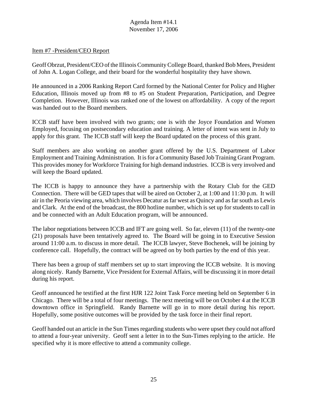#### Item #7 -President/CEO Report

Geoff Obrzut, President/CEO of the Illinois Community College Board, thanked Bob Mees, President of John A. Logan College, and their board for the wonderful hospitality they have shown.

He announced in a 2006 Ranking Report Card formed by the National Center for Policy and Higher Education, Illinois moved up from #8 to #5 on Student Preparation, Participation, and Degree Completion. However, Illinois was ranked one of the lowest on affordability. A copy of the report was handed out to the Board members.

ICCB staff have been involved with two grants; one is with the Joyce Foundation and Women Employed, focusing on postsecondary education and training. A letter of intent was sent in July to apply for this grant. The ICCB staff will keep the Board updated on the process of this grant.

Staff members are also working on another grant offered by the U.S. Department of Labor Employment and Training Administration. It is for a Community Based Job Training Grant Program. This provides money for Workforce Training for high demand industries. ICCB is very involved and will keep the Board updated.

The ICCB is happy to announce they have a partnership with the Rotary Club for the GED Connection. There will be GED tapes that will be aired on October 2, at 1:00 and 11:30 p.m. It will air in the Peoria viewing area, which involves Decatur as far west as Quincy and as far south as Lewis and Clark. At the end of the broadcast, the 800 hotline number, which is set up for students to call in and be connected with an Adult Education program, will be announced.

The labor negotiations between ICCB and IFT are going well. So far, eleven (11) of the twenty-one (21) proposals have been tentatively agreed to. The Board will be going in to Executive Session around 11:00 a.m. to discuss in more detail. The ICCB lawyer, Steve Bochenek, will be joining by conference call. Hopefully, the contract will be agreed on by both parties by the end of this year.

There has been a group of staff members set up to start improving the ICCB website. It is moving along nicely. Randy Barnette, Vice President for External Affairs, will be discussing it in more detail during his report.

Geoff announced he testified at the first HJR 122 Joint Task Force meeting held on September 6 in Chicago. There will be a total of four meetings. The next meeting will be on October 4 at the ICCB downtown office in Springfield. Randy Barnette will go in to more detail during his report. Hopefully, some positive outcomes will be provided by the task force in their final report.

Geoff handed out an article in the Sun Times regarding students who were upset they could not afford to attend a four-year university. Geoff sent a letter in to the Sun-Times replying to the article. He specified why it is more effective to attend a community college.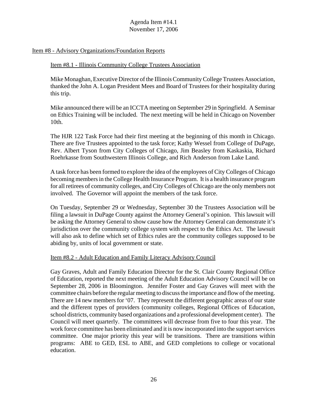#### Item #8 - Advisory Organizations/Foundation Reports

#### Item #8.1 - Illinois Community College Trustees Association

Mike Monaghan, Executive Director of the Illinois Community College Trustees Association, thanked the John A. Logan President Mees and Board of Trustees for their hospitality during this trip.

Mike announced there will be an ICCTA meeting on September 29 in Springfield. A Seminar on Ethics Training will be included. The next meeting will be held in Chicago on November 10th.

The HJR 122 Task Force had their first meeting at the beginning of this month in Chicago. There are five Trustees appointed to the task force; Kathy Wessel from College of DuPage, Rev. Albert Tyson from City Colleges of Chicago, Jim Beasley from Kaskaskia, Richard Roehrkasse from Southwestern Illinois College, and Rich Anderson from Lake Land.

A task force has been formed to explore the idea of the employees of City Colleges of Chicago becoming members in the College Health Insurance Program. It is a health insurance program for all retirees of community colleges, and City Colleges of Chicago are the only members not involved. The Governor will appoint the members of the task force.

On Tuesday, September 29 or Wednesday, September 30 the Trustees Association will be filing a lawsuit in DuPage County against the Attorney General's opinion. This lawsuit will be asking the Attorney General to show cause how the Attorney General can demonstrate it's jurisdiction over the community college system with respect to the Ethics Act. The lawsuit will also ask to define which set of Ethics rules are the community colleges supposed to be abiding by, units of local government or state.

#### Item #8.2 - Adult Education and Family Literacy Advisory Council

Gay Graves, Adult and Family Education Director for the St. Clair County Regional Office of Education, reported the next meeting of the Adult Education Advisory Council will be on September 28, 2006 in Bloomington. Jennifer Foster and Gay Graves will meet with the committee chairs before the regular meeting to discuss the importance and flow of the meeting. There are 14 new members for '07. They represent the different geographic areas of our state and the different types of providers (community colleges, Regional Offices of Education, school districts, community based organizations and a professional development center). The Council will meet quarterly. The committees will decrease from five to four this year. The work force committee has been eliminated and it is now incorporated into the support services committee. One major priority this year will be transitions. There are transitions within programs: ABE to GED, ESL to ABE, and GED completions to college or vocational education.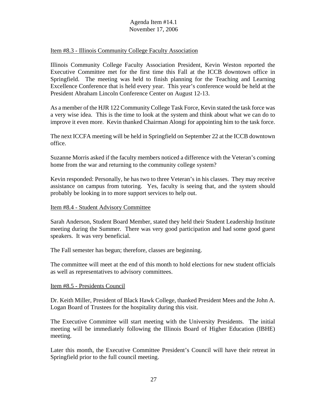#### Item #8.3 - Illinois Community College Faculty Association

Illinois Community College Faculty Association President, Kevin Weston reported the Executive Committee met for the first time this Fall at the ICCB downtown office in Springfield. The meeting was held to finish planning for the Teaching and Learning Excellence Conference that is held every year. This year's conference would be held at the President Abraham Lincoln Conference Center on August 12-13.

As a member of the HJR 122 Community College Task Force, Kevin stated the task force was a very wise idea. This is the time to look at the system and think about what we can do to improve it even more. Kevin thanked Chairman Alongi for appointing him to the task force.

The next ICCFA meeting will be held in Springfield on September 22 at the ICCB downtown office.

Suzanne Morris asked if the faculty members noticed a difference with the Veteran's coming home from the war and returning to the community college system?

Kevin responded: Personally, he has two to three Veteran's in his classes. They may receive assistance on campus from tutoring. Yes, faculty is seeing that, and the system should probably be looking in to more support services to help out.

#### Item #8.4 - Student Advisory Committee

Sarah Anderson, Student Board Member, stated they held their Student Leadership Institute meeting during the Summer. There was very good participation and had some good guest speakers. It was very beneficial.

The Fall semester has begun; therefore, classes are beginning.

The committee will meet at the end of this month to hold elections for new student officials as well as representatives to advisory committees.

#### Item #8.5 - Presidents Council

Dr. Keith Miller, President of Black Hawk College, thanked President Mees and the John A. Logan Board of Trustees for the hospitality during this visit.

The Executive Committee will start meeting with the University Presidents. The initial meeting will be immediately following the Illinois Board of Higher Education (IBHE) meeting.

Later this month, the Executive Committee President's Council will have their retreat in Springfield prior to the full council meeting.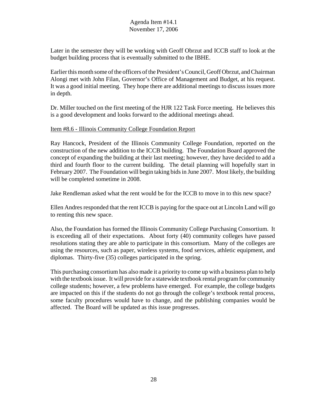Later in the semester they will be working with Geoff Obrzut and ICCB staff to look at the budget building process that is eventually submitted to the IBHE.

Earlier this month some of the officers of the President's Council, Geoff Obrzut, and Chairman Alongi met with John Filan, Governor's Office of Management and Budget, at his request. It was a good initial meeting. They hope there are additional meetings to discuss issues more in depth.

Dr. Miller touched on the first meeting of the HJR 122 Task Force meeting. He believes this is a good development and looks forward to the additional meetings ahead.

#### Item #8.6 - Illinois Community College Foundation Report

Ray Hancock, President of the Illinois Community College Foundation, reported on the construction of the new addition to the ICCB building. The Foundation Board approved the concept of expanding the building at their last meeting; however, they have decided to add a third and fourth floor to the current building. The detail planning will hopefully start in February 2007. The Foundation will begin taking bids in June 2007. Most likely, the building will be completed sometime in 2008.

Jake Rendleman asked what the rent would be for the ICCB to move in to this new space?

Ellen Andres responded that the rent ICCB is paying for the space out at Lincoln Land will go to renting this new space.

Also, the Foundation has formed the Illinois Community College Purchasing Consortium. It is exceeding all of their expectations. About forty (40) community colleges have passed resolutions stating they are able to participate in this consortium. Many of the colleges are using the resources, such as paper, wireless systems, food services, athletic equipment, and diplomas. Thirty-five (35) colleges participated in the spring.

This purchasing consortium has also made it a priority to come up with a business plan to help with the textbook issue. It will provide for a statewide textbook rental program for community college students; however, a few problems have emerged. For example, the college budgets are impacted on this if the students do not go through the college's textbook rental process, some faculty procedures would have to change, and the publishing companies would be affected. The Board will be updated as this issue progresses.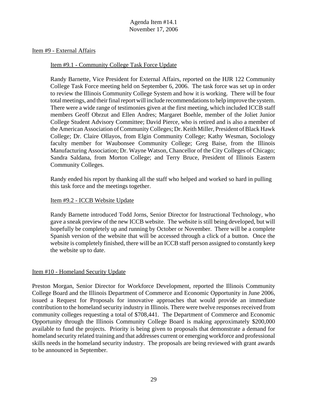Item #9 - External Affairs

#### Item #9.1 - Community College Task Force Update

Randy Barnette, Vice President for External Affairs, reported on the HJR 122 Community College Task Force meeting held on September 6, 2006. The task force was set up in order to review the Illinois Community College System and how it is working. There will be four total meetings, and their final report will include recommendations to help improve the system. There were a wide range of testimonies given at the first meeting, which included ICCB staff members Geoff Obrzut and Ellen Andres; Margaret Boehle, member of the Joliet Junior College Student Advisory Committee; David Pierce, who is retired and is also a member of the American Association of Community Colleges; Dr. Keith Miller, President of Black Hawk College; Dr. Claire Ollayos, from Elgin Community College; Kathy Wesman, Sociology faculty member for Waubonsee Community College; Greg Baise, from the Illinois Manufacturing Association; Dr. Wayne Watson, Chancellor of the City Colleges of Chicago; Sandra Saldana, from Morton College; and Terry Bruce, President of Illinois Eastern Community Colleges.

Randy ended his report by thanking all the staff who helped and worked so hard in pulling this task force and the meetings together.

#### Item #9.2 - ICCB Website Update

Randy Barnette introduced Todd Jorns, Senior Director for Instructional Technology, who gave a sneak preview of the new ICCB website. The website is still being developed, but will hopefully be completely up and running by October or November. There will be a complete Spanish version of the website that will be accessed through a click of a button. Once the website is completely finished, there will be an ICCB staff person assigned to constantly keep the website up to date.

#### Item #10 - Homeland Security Update

Preston Morgan, Senior Director for Workforce Development, reported the Illinois Community College Board and the Illinois Department of Commerce and Economic Opportunity in June 2006, issued a Request for Proposals for innovative approaches that would provide an immediate contribution to the homeland security industry in Illinois. There were twelve responses received from community colleges requesting a total of \$708,441. The Department of Commerce and Economic Opportunity through the Illinois Community College Board is making approximately \$200,000 available to fund the projects. Priority is being given to proposals that demonstrate a demand for homeland security related training and that addresses current or emerging workforce and professional skills needs in the homeland security industry. The proposals are being reviewed with grant awards to be announced in September.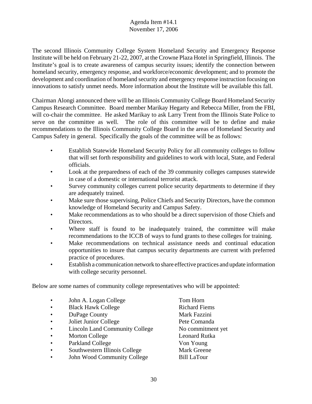The second Illinois Community College System Homeland Security and Emergency Response Institute will be held on February 21-22, 2007, at the Crowne Plaza Hotel in Springfield, Illinois. The Institute's goal is to create awareness of campus security issues; identify the connection between homeland security, emergency response, and workforce/economic development; and to promote the development and coordination of homeland security and emergency response instruction focusing on innovations to satisfy unmet needs. More information about the Institute will be available this fall.

Chairman Alongi announced there will be an Illinois Community College Board Homeland Security Campus Research Committee. Board member Marikay Hegarty and Rebecca Miller, from the FBI, will co-chair the committee. He asked Marikay to ask Larry Trent from the Illinois State Police to serve on the committee as well. The role of this committee will be to define and make recommendations to the Illinois Community College Board in the areas of Homeland Security and Campus Safety in general. Specifically the goals of the committee will be as follows:

- Establish Statewide Homeland Security Policy for all community colleges to follow that will set forth responsibility and guidelines to work with local, State, and Federal officials.
- Look at the preparedness of each of the 39 community colleges campuses statewide in case of a domestic or international terrorist attack.
- Survey community colleges current police security departments to determine if they are adequately trained.
- Make sure those supervising, Police Chiefs and Security Directors, have the common knowledge of Homeland Security and Campus Safety.
- Make recommendations as to who should be a direct supervision of those Chiefs and Directors.
- Where staff is found to be inadequately trained, the committee will make recommendations to the ICCB of ways to fund grants to these colleges for training.
- Make recommendations on technical assistance needs and continual education opportunities to insure that campus security departments are current with preferred practice of procedures.
- Establish a communication network to share effective practices and update information with college security personnel.

Below are some names of community college representatives who will be appointed:

- John A. Logan College Tom Horn
- Black Hawk College Richard Fiems
- **DuPage County** Mark Fazzini
- Joliet Junior College Pete Comanda
- Lincoln Land Community College No commitment yet
- Morton College Leonard Rutka
- Parkland College Von Young
- Southwestern Illinois College Mark Greene
- John Wood Community College Bill LaTour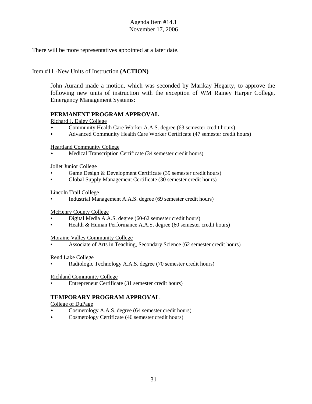There will be more representatives appointed at a later date.

## Item #11 -New Units of Instruction **(ACTION)**

John Aurand made a motion, which was seconded by Marikay Hegarty, to approve the following new units of instruction with the exception of WM Rainey Harper College, Emergency Management Systems:

## **PERMANENT PROGRAM APPROVAL**

Richard J. Daley College

- Community Health Care Worker A.A.S. degree (63 semester credit hours)
- < Advanced Community Health Care Worker Certificate (47 semester credit hours)

Heartland Community College

< Medical Transcription Certificate (34 semester credit hours)

Joliet Junior College

- Game Design & Development Certificate (39 semester credit hours)
- Global Supply Management Certificate (30 semester credit hours)

Lincoln Trail College

• Industrial Management A.A.S. degree (69 semester credit hours)

McHenry County College

- Digital Media A.A.S. degree (60-62 semester credit hours)
- Health & Human Performance A.A.S. degree (60 semester credit hours)

Moraine Valley Community College

• Associate of Arts in Teaching, Secondary Science (62 semester credit hours)

#### Rend Lake College

• Radiologic Technology A.A.S. degree (70 semester credit hours)

Richland Community College

• Entrepreneur Certificate (31 semester credit hours)

## **TEMPORARY PROGRAM APPROVAL**

College of DuPage

- Cosmetology A.A.S. degree (64 semester credit hours)
- < Cosmetology Certificate (46 semester credit hours)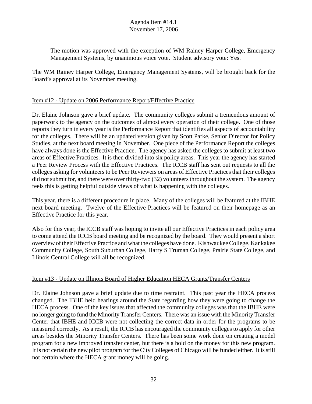The motion was approved with the exception of WM Rainey Harper College, Emergency Management Systems, by unanimous voice vote. Student advisory vote: Yes.

The WM Rainey Harper College, Emergency Management Systems, will be brought back for the Board's approval at its November meeting.

## Item #12 - Update on 2006 Performance Report/Effective Practice

Dr. Elaine Johnson gave a brief update. The community colleges submit a tremendous amount of paperwork to the agency on the outcomes of almost every operation of their college. One of those reports they turn in every year is the Performance Report that identifies all aspects of accountability for the colleges. There will be an updated version given by Scott Parke, Senior Director for Policy Studies, at the next board meeting in November. One piece of the Performance Report the colleges have always done is the Effective Practice. The agency has asked the colleges to submit at least two areas of Effective Practices. It is then divided into six policy areas. This year the agency has started a Peer Review Process with the Effective Practices. The ICCB staff has sent out requests to all the colleges asking for volunteers to be Peer Reviewers on areas of Effective Practices that their colleges did not submit for, and there were over thirty-two (32) volunteers throughout the system. The agency feels this is getting helpful outside views of what is happening with the colleges.

This year, there is a different procedure in place. Many of the colleges will be featured at the IBHE next board meeting. Twelve of the Effective Practices will be featured on their homepage as an Effective Practice for this year.

Also for this year, the ICCB staff was hoping to invite all our Effective Practices in each policy area to come attend the ICCB board meeting and be recognized by the board. They would present a short overview of their Effective Practice and what the colleges have done. Kishwaukee College, Kankakee Community College, South Suburban College, Harry S Truman College, Prairie State College, and Illinois Central College will all be recognized.

## Item #13 - Update on Illinois Board of Higher Education HECA Grants/Transfer Centers

Dr. Elaine Johnson gave a brief update due to time restraint. This past year the HECA process changed. The IBHE held hearings around the State regarding how they were going to change the HECA process. One of the key issues that affected the community colleges was that the IBHE were no longer going to fund the Minority Transfer Centers. There was an issue with the Minority Transfer Center that IBHE and ICCB were not collecting the correct data in order for the programs to be measured correctly. As a result, the ICCB has encouraged the community colleges to apply for other areas besides the Minority Transfer Centers. There has been some work done on creating a model program for a new improved transfer center, but there is a hold on the money for this new program. It is not certain the new pilot program for the City Colleges of Chicago will be funded either. It is still not certain where the HECA grant money will be going.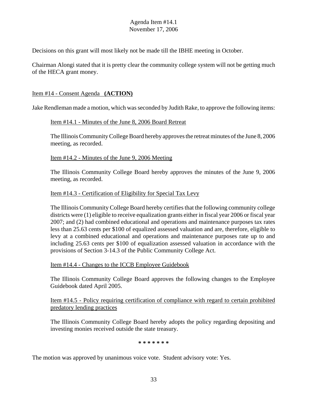Decisions on this grant will most likely not be made till the IBHE meeting in October.

Chairman Alongi stated that it is pretty clear the community college system will not be getting much of the HECA grant money.

## Item #14 - Consent Agenda **(ACTION)**

Jake Rendleman made a motion, which was seconded by Judith Rake, to approve the following items:

#### Item #14.1 - Minutes of the June 8, 2006 Board Retreat

The Illinois Community College Board hereby approves the retreat minutes of the June 8, 2006 meeting, as recorded.

## Item #14.2 - Minutes of the June 9, 2006 Meeting

The Illinois Community College Board hereby approves the minutes of the June 9, 2006 meeting, as recorded.

## Item #14.3 - Certification of Eligibility for Special Tax Levy

The Illinois Community College Board hereby certifies that the following community college districts were (1) eligible to receive equalization grants either in fiscal year 2006 or fiscal year 2007; and (2) had combined educational and operations and maintenance purposes tax rates less than 25.63 cents per \$100 of equalized assessed valuation and are, therefore, eligible to levy at a combined educational and operations and maintenance purposes rate up to and including 25.63 cents per \$100 of equalization assessed valuation in accordance with the provisions of Section 3-14.3 of the Public Community College Act.

#### Item #14.4 - Changes to the ICCB Employee Guidebook

The Illinois Community College Board approves the following changes to the Employee Guidebook dated April 2005.

## Item #14.5 - Policy requiring certification of compliance with regard to certain prohibited predatory lending practices

The Illinois Community College Board hereby adopts the policy regarding depositing and investing monies received outside the state treasury.

**\* \* \* \* \* \* \***

The motion was approved by unanimous voice vote. Student advisory vote: Yes.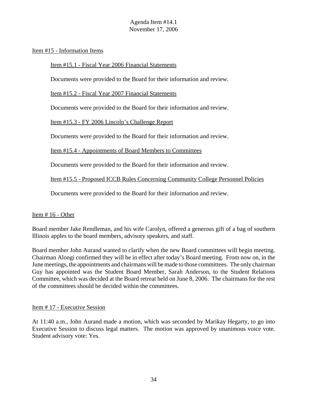#### Item #15 - Information Items

#### Item #15.1 - Fiscal Year 2006 Financial Statements

Documents were provided to the Board for their information and review.

Item #15.2 - Fiscal Year 2007 Financial Statements

Documents were provided to the Board for their information and review.

Item #15.3 - FY 2006 Lincoln's Challenge Report

Documents were provided to the Board for their information and review.

Item #15.4 - Appointments of Board Members to Committees

Documents were provided to the Board for their information and review.

Item #15.5 - Proposed ICCB Rules Concerning Community College Personnel Policies

Documents were provided to the Board for their information and review.

#### Item # 16 - Other

Board member Jake Rendleman, and his wife Carolyn, offered a generous gift of a bag of southern Illinois apples to the board members, advisory speakers, and staff.

Board member John Aurand wanted to clarify when the new Board committees will begin meeting. Chairman Alongi confirmed they will be in effect after today's Board meeting. From now on, in the June meetings, the appointments and chairmans will be made to those committees. The only chairman Guy has appointed was the Student Board Member, Sarah Anderson, to the Student Relations Committee, which was decided at the Board retreat held on June 8, 2006. The chairmans for the rest of the committees should be decided within the committees.

#### Item # 17 - Executive Session

At 11:40 a.m., John Aurand made a motion, which was seconded by Marikay Hegarty, to go into Executive Session to discuss legal matters. The motion was approved by unanimous voice vote. Student advisory vote: Yes.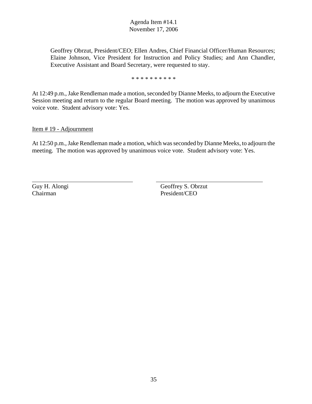Geoffrey Obrzut, President/CEO; Ellen Andres, Chief Financial Officer/Human Resources; Elaine Johnson, Vice President for Instruction and Policy Studies; and Ann Chandler, Executive Assistant and Board Secretary, were requested to stay.

\* \* \* \* \* \* \* \* \* \*

At 12:49 p.m., Jake Rendleman made a motion, seconded by Dianne Meeks, to adjourn the Executive Session meeting and return to the regular Board meeting. The motion was approved by unanimous voice vote. Student advisory vote: Yes.

Item # 19 - Adjournment

At 12:50 p.m., Jake Rendleman made a motion, which was seconded by Dianne Meeks, to adjourn the meeting. The motion was approved by unanimous voice vote. Student advisory vote: Yes.

Guy H. Alongi Geoffrey S. Obrzut Chairman President/CEO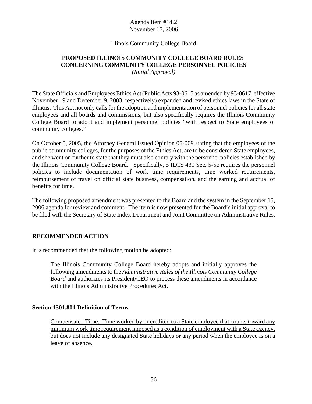## Illinois Community College Board

# **PROPOSED ILLINOIS COMMUNITY COLLEGE BOARD RULES CONCERNING COMMUNITY COLLEGE PERSONNEL POLICIES**

*(Initial Approval)*

The State Officials and Employees Ethics Act (Public Acts 93-0615 as amended by 93-0617, effective November 19 and December 9, 2003, respectively) expanded and revised ethics laws in the State of Illinois. This Act not only calls for the adoption and implementation of personnel policies for all state employees and all boards and commissions, but also specifically requires the Illinois Community College Board to adopt and implement personnel policies "with respect to State employees of community colleges."

On October 5, 2005, the Attorney General issued Opinion 05-009 stating that the employees of the public community colleges, for the purposes of the Ethics Act, are to be considered State employees, and she went on further to state that they must also comply with the personnel policies established by the Illinois Community College Board. Specifically, 5 ILCS 430 Sec. 5-5c requires the personnel policies to include documentation of work time requirements, time worked requirements, reimbursement of travel on official state business, compensation, and the earning and accrual of benefits for time.

The following proposed amendment was presented to the Board and the system in the September 15, 2006 agenda for review and comment. The item is now presented for the Board's initial approval to be filed with the Secretary of State Index Department and Joint Committee on Administrative Rules.

# **RECOMMENDED ACTION**

It is recommended that the following motion be adopted:

The Illinois Community College Board hereby adopts and initially approves the following amendments to the *Administrative Rules of the Illinois Community College Board* and authorizes its President/CEO to process these amendments in accordance with the Illinois Administrative Procedures Act.

#### **Section 1501.801 Definition of Terms**

Compensated Time. Time worked by or credited to a State employee that counts toward any minimum work time requirement imposed as a condition of employment with a State agency, but does not include any designated State holidays or any period when the employee is on a leave of absence.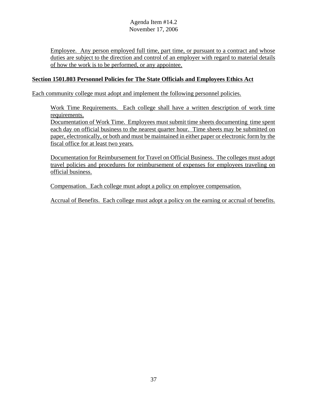Employee. Any person employed full time, part time, or pursuant to a contract and whose duties are subject to the direction and control of an employer with regard to material details of how the work is to be performed, or any appointee.

## **Section 1501.803 Personnel Policies for The State Officials and Employees Ethics Act**

Each community college must adopt and implement the following personnel policies.

Work Time Requirements. Each college shall have a written description of work time requirements.

Documentation of Work Time. Employees must submit time sheets documenting time spent each day on official business to the nearest quarter hour. Time sheets may be submitted on paper, electronically, or both and must be maintained in either paper or electronic form by the fiscal office for at least two years.

Documentation for Reimbursement for Travel on Official Business. The colleges must adopt travel policies and procedures for reimbursement of expenses for employees traveling on official business.

Compensation. Each college must adopt a policy on employee compensation.

Accrual of Benefits. Each college must adopt a policy on the earning or accrual of benefits.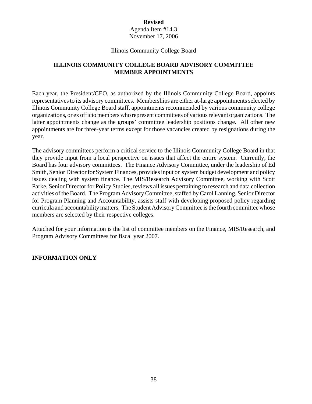Agenda Item #14.3 November 17, 2006

#### Illinois Community College Board

# **ILLINOIS COMMUNITY COLLEGE BOARD ADVISORY COMMITTEE MEMBER APPOINTMENTS**

Each year, the President/CEO, as authorized by the Illinois Community College Board, appoints representatives to its advisory committees. Memberships are either at-large appointments selected by Illinois Community College Board staff, appointments recommended by various community college organizations, or ex officio members who represent committees of various relevant organizations. The latter appointments change as the groups' committee leadership positions change. All other new appointments are for three-year terms except for those vacancies created by resignations during the year.

The advisory committees perform a critical service to the Illinois Community College Board in that they provide input from a local perspective on issues that affect the entire system. Currently, the Board has four advisory committees. The Finance Advisory Committee, under the leadership of Ed Smith, Senior Director for System Finances, provides input on system budget development and policy issues dealing with system finance. The MIS/Research Advisory Committee, working with Scott Parke, Senior Director for Policy Studies, reviews all issues pertaining to research and data collection activities of the Board. The Program Advisory Committee, staffed by Carol Lanning, Senior Director for Program Planning and Accountability, assists staff with developing proposed policy regarding curricula and accountability matters. The Student Advisory Committee is the fourth committee whose members are selected by their respective colleges.

Attached for your information is the list of committee members on the Finance, MIS/Research, and Program Advisory Committees for fiscal year 2007.

#### **INFORMATION ONLY**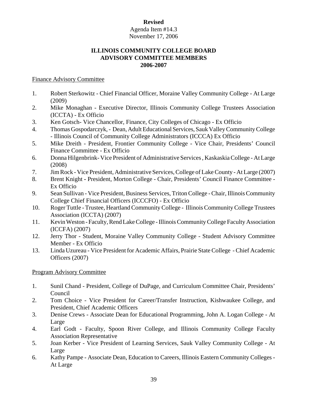## Agenda Item #14.3 November 17, 2006

## **ILLINOIS COMMUNITY COLLEGE BOARD ADVISORY COMMITTEE MEMBERS 2006-2007**

## Finance Advisory Committee

- 1. Robert Sterkowitz Chief Financial Officer, Moraine Valley Community College At Large (2009)
- 2. Mike Monaghan Executive Director, Illinois Community College Trustees Association (ICCTA) - Ex Officio
- 3. Ken Gotsch- Vice Chancellor, Finance, City Colleges of Chicago Ex Officio
- 4. Thomas Gospodarczyk, Dean, Adult Educational Services, Sauk Valley Community College - Illinois Council of Community College Administrators (ICCCA) Ex Officio
- 5. Mike Dreith President, Frontier Community College Vice Chair, Presidents' Council Finance Committee - Ex Officio
- 6. Donna Hilgenbrink- Vice President of Administrative Services , Kaskaskia College At Large (2008)
- 7. Jim Rock Vice President, Administrative Services, College of Lake County At Large (2007)
- 8. Brent Knight **-** President, Morton College Chair, Presidents' Council Finance Committee Ex Officio
- 9. Sean Sullivan Vice President, Business Services, Triton College Chair, Illinois Community College Chief Financial Officers (ICCCFO) - Ex Officio
- 10. Roger Tuttle Trustee, Heartland Community College Illinois Community College Trustees Association (ICCTA) (2007)
- 11. Kevin Weston Faculty, Rend Lake College Illinois Community College Faculty Association (ICCFA) (2007)
- 12. Jerry Thor Student, Moraine Valley Community College Student Advisory Committee Member - Ex Officio
- 13. Linda Uzureau Vice President for Academic Affairs, Prairie State College Chief Academic Officers (2007)

## Program Advisory Committee

- 1. Sunil Chand President, College of DuPage, and Curriculum Committee Chair, Presidents' Council
- 2. Tom Choice Vice President for Career/Transfer Instruction, Kishwaukee College, and President, Chief Academic Officers
- 3. Denise Crews Associate Dean for Educational Programming, John A. Logan College At Large
- 4. Earl Godt Faculty, Spoon River College, and Illinois Community College Faculty Association Representative
- 5. Joan Kerber Vice President of Learning Services, Sauk Valley Community College At Large
- 6. Kathy Pampe Associate Dean, Education to Careers, Illinois Eastern Community Colleges At Large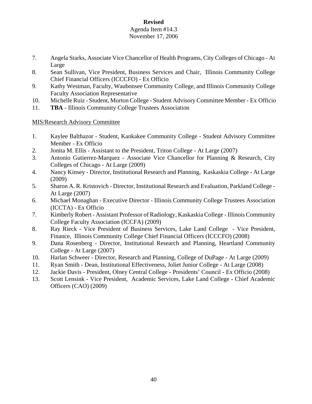#### Agenda Item #14.3 November 17, 2006

- 7. Angela Starks, Associate Vice Chancellor of Health Programs, City Colleges of Chicago At Large
- 8. Sean Sullivan, Vice President, Business Services and Chair, Illinois Community College Chief Financial Officers (ICCCFO) - Ex Officio
- 9. Kathy Westman, Faculty, Waubonsee Community College, and Illinois Community College Faculty Association Representative
- 10. Michelle Ruiz Student, Morton College Student Advisory Committee Member Ex Officio
- 11. **TBA**  Illinois Community College Trustees Association

# MIS/Research Advisory Committee

- 1. Kaylee Balthazor Student, Kankakee Community College Student Advisory Committee Member - Ex Officio
- 2. Jonita M. Ellis Assistant to the President, Triton College At Large (2007)
- 3. Antonio Gutierrez-Marquez Associate Vice Chancellor for Planning & Research, City Colleges of Chicago - At Large (2009)
- 4. Nancy Kinsey Director, Institutional Research and Planning, Kaskaskia College At Large (2009)
- 5. Sharon A. R. Kristovich Director, Institutional Research and Evaluation, Parkland College At Large (2007)
- 6. Michael Monaghan Executive Director Illinois Community College Trustees Association (ICCTA) - Ex Officio
- 7. Kimberly Robert Assistant Professor of Radiology, Kaskaskia College Illinois Community College Faculty Association (ICCFA) (2009)
- 8. Ray Rieck Vice President of Business Services, Lake Land College Vice President, Finance, Illinois Community College Chief Financial Officers (ICCCFO) (2008)
- 9. Dana Rosenberg Director, Institutional Research and Planning, Heartland Community College - At Large (2007)
- 10. Harlan Schweer Director, Research and Planning, College of DuPage At Large (2009)
- 11. Ryan Smith Dean, Institutional Effectiveness, Joliet Junior College At Large (2008)
- 12. Jackie Davis President, Olney Central CollegePresidents' Council Ex Officio (2008)
- 13. Scott Lensink Vice President, Academic Services, Lake Land College Chief Academic Officers (CAO) (2009)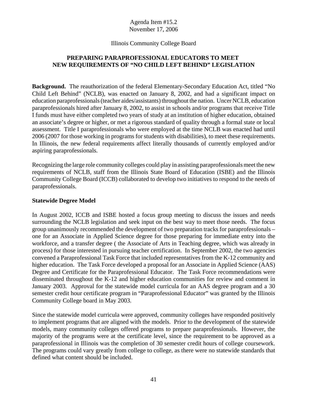#### Illinois Community College Board

# **PREPARING PARAPROFESSIONAL EDUCATORS TO MEET NEW REQUIREMENTS OF "NO CHILD LEFT BEHIND" LEGISLATION**

**Background.** The reauthorization of the federal Elementary-Secondary Education Act, titled "No Child Left Behind" (NCLB), was enacted on January 8, 2002, and had a significant impact on education paraprofessionals (teacher aides/assistants) throughout the nation. Uncer NCLB, education paraprofessionals hired after January 8, 2002, to assist in schools and/or programs that receive Title I funds must have either completed two years of study at an institution of higher education, obtained an associate's degree or higher, or met a rigorous standard of quality through a formal state or local assessment. Title I paraprofessionals who were employed at the time NCLB was enacted had until 2006 (2007 for those working in programs for students with disabilities), to meet these requirements. In Illinois, the new federal requirements affect literally thousands of currently employed and/or aspiring paraprofessionals.

Recognizing the large role community colleges could play in assisting paraprofessionals meet the new requirements of NCLB, staff from the Illinois State Board of Education (ISBE) and the Illinois Community College Board (ICCB) collaborated to develop two initiatives to respond to the needs of paraprofessionals.

#### **Statewide Degree Model**

In August 2002, ICCB and ISBE hosted a focus group meeting to discuss the issues and needs surrounding the NCLB legislation and seek input on the best way to meet those needs. The focus group unanimously recommended the development of two preparation tracks for paraprofessionals – one for an Associate in Applied Science degree for those preparing for immediate entry into the workforce, and a transfer degree ( the Associate of Arts in Teaching degree, which was already in process) for those interested in pursuing teacher certification. In September 2002, the two agencies convened a Paraprofessional Task Force that included representatives from the K-12 community and higher education. The Task Force developed a proposal for an Associate in Applied Science (AAS) Degree and Certificate for the Paraprofessional Educator. The Task Force recommendations were disseminated throughout the K-12 and higher education communities for review and comment in January 2003. Approval for the statewide model curricula for an AAS degree program and a 30 semester credit hour certificate program in "Paraprofessional Educator" was granted by the Illinois Community College board in May 2003.

Since the statewide model curricula were approved, community colleges have responded positively to implement programs that are aligned with the models. Prior to the development of the statewide models, many community colleges offered programs to prepare paraprofessionals. However, the majority of the programs were at the certificate level, since the requirement to be approved as a paraprofessional in Illinois was the completion of 30 semester credit hours of college coursework. The programs could vary greatly from college to college, as there were no statewide standards that defined what content should be included.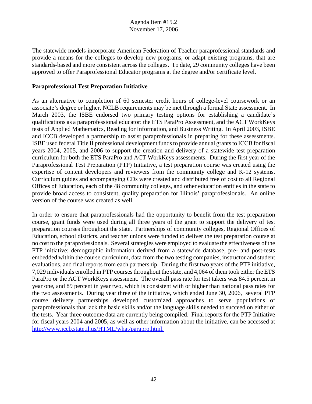The statewide models incorporate American Federation of Teacher paraprofessional standards and provide a means for the colleges to develop new programs, or adapt existing programs, that are standards-based and more consistent across the colleges. To date, 29 community colleges have been approved to offer Paraprofessional Educator programs at the degree and/or certificate level.

## **Paraprofessional Test Preparation Initiative**

As an alternative to completion of 60 semester credit hours of college-level coursework or an associate's degree or higher, NCLB requirements may be met through a formal State assessment. In March 2003, the ISBE endorsed two primary testing options for establishing a candidate's qualifications as a paraprofessional educator: the ETS ParaPro Assessment, and the ACT WorkKeys tests of Applied Mathematics, Reading for Information, and Business Writing. In April 2003, ISBE and ICCB developed a partnership to assist paraprofessionals in preparing for these assessments. ISBE used federal Title II professional development funds to provide annual grants to ICCB for fiscal years 2004, 2005, and 2006 to support the creation and delivery of a statewide test preparation curriculum for both the ETS ParaPro and ACT WorkKeys assessments. During the first year of the Paraprofessional Test Preparation (PTP) Initiative, a test preparation course was created using the expertise of content developers and reviewers from the community college and K-12 systems. Curriculum guides and accompanying CDs were created and distributed free of cost to all Regional Offices of Education, each of the 48 community colleges, and other education entities in the state to provide broad access to consistent, quality preparation for Illinois' paraprofessionals. An online version of the course was created as well.

In order to ensure that paraprofessionals had the opportunity to benefit from the test preparation course, grant funds were used during all three years of the grant to support the delivery of test preparation courses throughout the state. Partnerships of community colleges, Regional Offices of Education, school districts, and teacher unions were funded to deliver the test preparation course at no cost to the paraprofessionals. Several strategies were employed to evaluate the effectiveness of the PTP initiative: demographic information derived from a statewide database, pre- and post-tests embedded within the course curriculum, data from the two testing companies, instructor and student evaluations, and final reports from each partnership. During the first two years of the PTP initiative, 7,029 individuals enrolled in PTP courses throughout the state, and 4,064 of them took either the ETS ParaPro or the ACT WorkKeys assessment. The overall pass rate for test takers was 84.5 percent in year one, and 89 percent in year two, which is consistent with or higher than national pass rates for the two assessments. During year three of the initiative, which ended June 30, 2006, several PTP course delivery partnerships developed customized approaches to serve populations of paraprofessionals that lack the basic skills and/or the language skills needed to succeed on either of the tests. Year three outcome data are currently being compiled. Final reports for the PTP Initiative for fiscal years 2004 and 2005, as well as other information about the initiative, can be accessed at http://www.iccb.state.il.us/HTML/what/parapro.html.